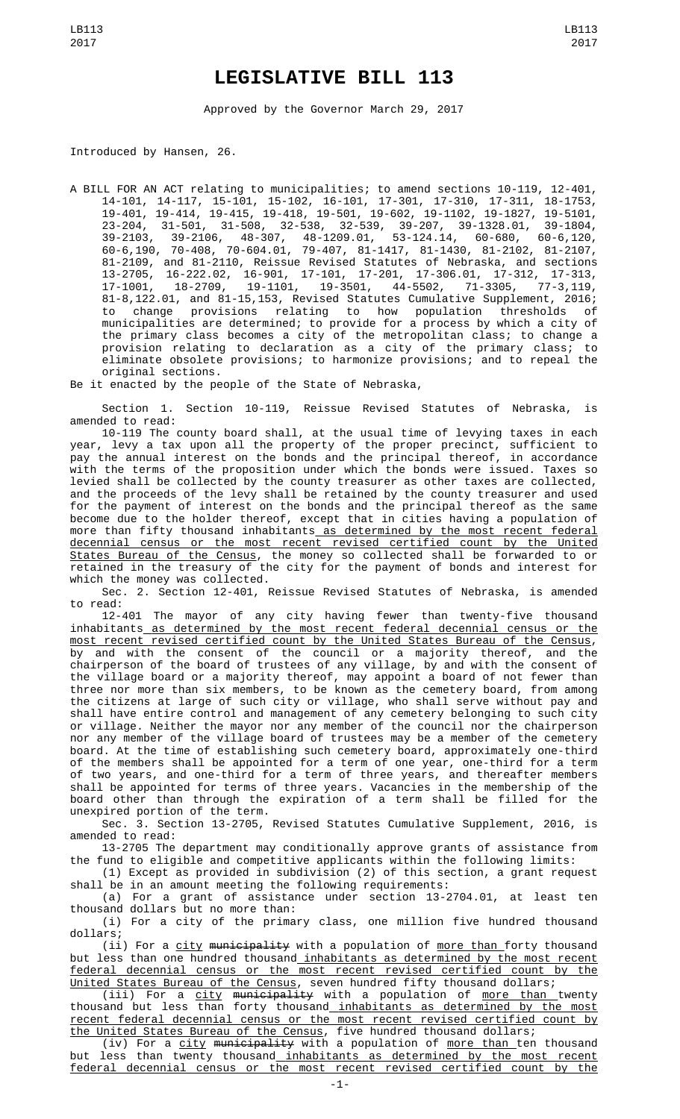## **LEGISLATIVE BILL 113**

Approved by the Governor March 29, 2017

Introduced by Hansen, 26.

A BILL FOR AN ACT relating to municipalities; to amend sections 10-119, 12-401, 14-101, 14-117, 15-101, 15-102, 16-101, 17-301, 17-310, 17-311, 18-1753, 19-401, 19-414, 19-415, 19-418, 19-501, 19-602, 19-1102, 19-1827, 19-5101, 23-204, 31-501, 31-508, 32-538, 32-539, 39-207, 39-1328.01, 39-1804, 39-2103, 39-2106, 48-307, 48-1209.01, 53-124.14, 60-680, 60-6,120, 60-6,190, 70-408, 70-604.01, 79-407, 81-1417, 81-1430, 81-2102, 81-2107, 81-2109, and 81-2110, Reissue Revised Statutes of Nebraska, and sections 13-2705, 16-222.02, 16-901, 17-101, 17-201, 17-306.01, 17-312, 17-313, 17-1001, 18-2709, 19-1101, 19-3501, 44-5502, 71-3305, 77-3,119, 81-8,122.01, and 81-15,153, Revised Statutes Cumulative Supplement, 2016; to change provisions relating to how population thresholds of municipalities are determined; to provide for a process by which a city of the primary class becomes a city of the metropolitan class; to change a provision relating to declaration as a city of the primary class; to eliminate obsolete provisions; to harmonize provisions; and to repeal the original sections.

Be it enacted by the people of the State of Nebraska,

Section 1. Section 10-119, Reissue Revised Statutes of Nebraska, is amended to read:

10-119 The county board shall, at the usual time of levying taxes in each year, levy a tax upon all the property of the proper precinct, sufficient to pay the annual interest on the bonds and the principal thereof, in accordance with the terms of the proposition under which the bonds were issued. Taxes so levied shall be collected by the county treasurer as other taxes are collected, and the proceeds of the levy shall be retained by the county treasurer and used for the payment of interest on the bonds and the principal thereof as the same become due to the holder thereof, except that in cities having a population of more than fifty thousand inhabitants<u> as determined by the most recent federal</u> decennial census or the most recent revised certified count by the United States Bureau of the Census, the money so collected shall be forwarded to or retained in the treasury of the city for the payment of bonds and interest for which the money was collected.

Sec. 2. Section 12-401, Reissue Revised Statutes of Nebraska, is amended to read:

12-401 The mayor of any city having fewer than twenty-five thousand inhabitants as determined by the most recent federal decennial census or the most recent revised certified count by the United States Bureau of the Census, by and with the consent of the council or a majority thereof, and the chairperson of the board of trustees of any village, by and with the consent of the village board or a majority thereof, may appoint a board of not fewer than three nor more than six members, to be known as the cemetery board, from among the citizens at large of such city or village, who shall serve without pay and shall have entire control and management of any cemetery belonging to such city or village. Neither the mayor nor any member of the council nor the chairperson nor any member of the village board of trustees may be a member of the cemetery board. At the time of establishing such cemetery board, approximately one-third of the members shall be appointed for a term of one year, one-third for a term of two years, and one-third for a term of three years, and thereafter members shall be appointed for terms of three years. Vacancies in the membership of the board other than through the expiration of a term shall be filled for the unexpired portion of the term.

Sec. 3. Section 13-2705, Revised Statutes Cumulative Supplement, 2016, is amended to read:

13-2705 The department may conditionally approve grants of assistance from the fund to eligible and competitive applicants within the following limits:

(1) Except as provided in subdivision (2) of this section, a grant request shall be in an amount meeting the following requirements:

(a) For a grant of assistance under section 13-2704.01, at least ten thousand dollars but no more than:

(i) For a city of the primary class, one million five hundred thousand dollars;

(ii) For a <u>city</u> <del>municipality</del> with a population of <u>more than </u>forty thousand but less than one hundred thousand inhabitants as determined by the most recent federal decennial census or the most recent revised certified count by the United States Bureau of the Census, seven hundred fifty thousand dollars;

(iii) For a <u>city</u> <del>municipality</del> with a population of <u>more than </u>twenty thousand but less than forty thousand inhabitants as determined by the most recent federal decennial census or the most recent revised certified count by the United States Bureau of the Census, five hundred thousand dollars;

(iv) For a city municipality with a population of more than ten thousand less than twenty thousand inhabitants as determined by the most recent ral decennial census or the most recent revised certified count by the federal decennial census or the most recent revised certified count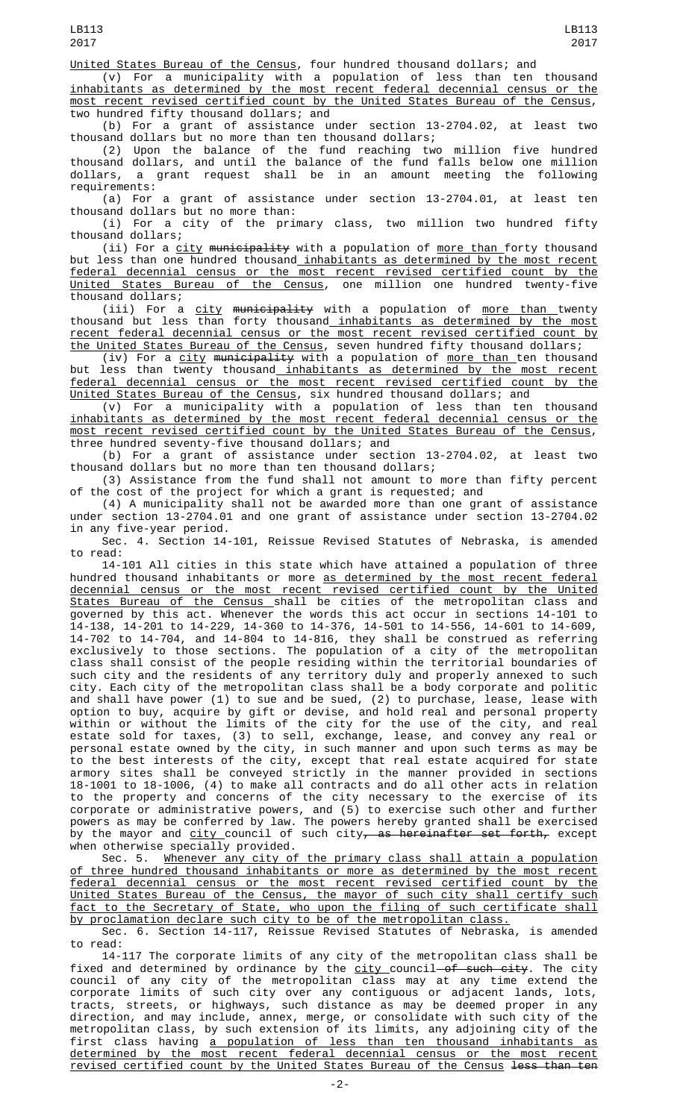(v) For a municipality with a population of less than ten thousand inhabitants as determined by the most recent federal decennial census or the most recent revised certified count by the United States Bureau of the Census, two hundred fifty thousand dollars; and

(b) For a grant of assistance under section 13-2704.02, at least two thousand dollars but no more than ten thousand dollars;

(2) Upon the balance of the fund reaching two million five hundred thousand dollars, and until the balance of the fund falls below one million dollars, a grant request shall be in an amount meeting the following requirements:

(a) For a grant of assistance under section 13-2704.01, at least ten thousand dollars but no more than:

(i) For a city of the primary class, two million two hundred fifty thousand dollars;

(ii) For a city municipality with a population of more than forty thousand but less than one hundred thousand inhabitants as determined by the most recent federal decennial census or the most recent revised certified count by the United States Bureau of the Census, one million one hundred twenty-five thousand dollars;

(iii) For a <u>city</u> <del>municipality</del> with a population of <u>more than </u>twenty thousand but less than forty thousand inhabitants as determined by the most recent federal decennial census or the most recent revised certified count by the United States Bureau of the Census, seven hundred fifty thousand dollars;

(iv) For a city municipality with a population of more than ten thousand but less than twenty thousand inhabitants as determined by the most recent federal decennial census or the most recent revised certified count by the <u>United States Bureau of the Census</u>, six hundred thousand dollars; and

(v) For a municipality with a population of less than ten thousand inhabitants as determined by the most recent federal decennial census or the most recent revised certified count by the United States Bureau of the Census, three hundred seventy-five thousand dollars; and

(b) For a grant of assistance under section 13-2704.02, at least two thousand dollars but no more than ten thousand dollars;

(3) Assistance from the fund shall not amount to more than fifty percent of the cost of the project for which a grant is requested; and

(4) A municipality shall not be awarded more than one grant of assistance under section 13-2704.01 and one grant of assistance under section 13-2704.02 in any five-year period.

Sec. 4. Section 14-101, Reissue Revised Statutes of Nebraska, is amended to read:

14-101 All cities in this state which have attained a population of three hundred thousand inhabitants or more as determined by the most recent federal decennial census or the most recent revised certified count by the United States Bureau of the Census shall be cities of the metropolitan class and governed by this act. Whenever the words this act occur in sections 14-101 to 14-138, 14-201 to 14-229, 14-360 to 14-376, 14-501 to 14-556, 14-601 to 14-609, 14-702 to 14-704, and 14-804 to 14-816, they shall be construed as referring exclusively to those sections. The population of a city of the metropolitan class shall consist of the people residing within the territorial boundaries of such city and the residents of any territory duly and properly annexed to such city. Each city of the metropolitan class shall be a body corporate and politic and shall have power (1) to sue and be sued, (2) to purchase, lease, lease with option to buy, acquire by gift or devise, and hold real and personal property within or without the limits of the city for the use of the city, and real estate sold for taxes, (3) to sell, exchange, lease, and convey any real or personal estate owned by the city, in such manner and upon such terms as may be to the best interests of the city, except that real estate acquired for state armory sites shall be conveyed strictly in the manner provided in sections 18-1001 to 18-1006, (4) to make all contracts and do all other acts in relation to the property and concerns of the city necessary to the exercise of its corporate or administrative powers, and (5) to exercise such other and further powers as may be conferred by law. The powers hereby granted shall be exercised by the mayor and <u>city </u>council of such city<del>, as hereinafter set forth,</del> except when otherwise specially provided.

Sec. 5. Whenever any city of the primary class shall attain a population of three hundred thousand inhabitants or more as determined by the most recent federal decennial census or the most recent revised certified count by the United States Bureau of the Census, the mayor of such city shall certify such fact to the Secretary of State, who upon the filing of such certificate shall by proclamation declare such city to be of the metropolitan class

Sec. 6. Section 14-117, Reissue Revised Statutes of Nebraska, is amended to read:

14-117 The corporate limits of any city of the metropolitan class shall be fixed and determined by ordinance by the <u>city c</u>ouncil<del> of such city</del>. The city council of any city of the metropolitan class may at any time extend the corporate limits of such city over any contiguous or adjacent lands, lots, tracts, streets, or highways, such distance as may be deemed proper in any direction, and may include, annex, merge, or consolidate with such city of the metropolitan class, by such extension of its limits, any adjoining city of the first class having a population of less than ten thousand inhabitants as determined by the most recent federal decennial census or the most recent revised certified count by the United States Bureau of the Census less than ten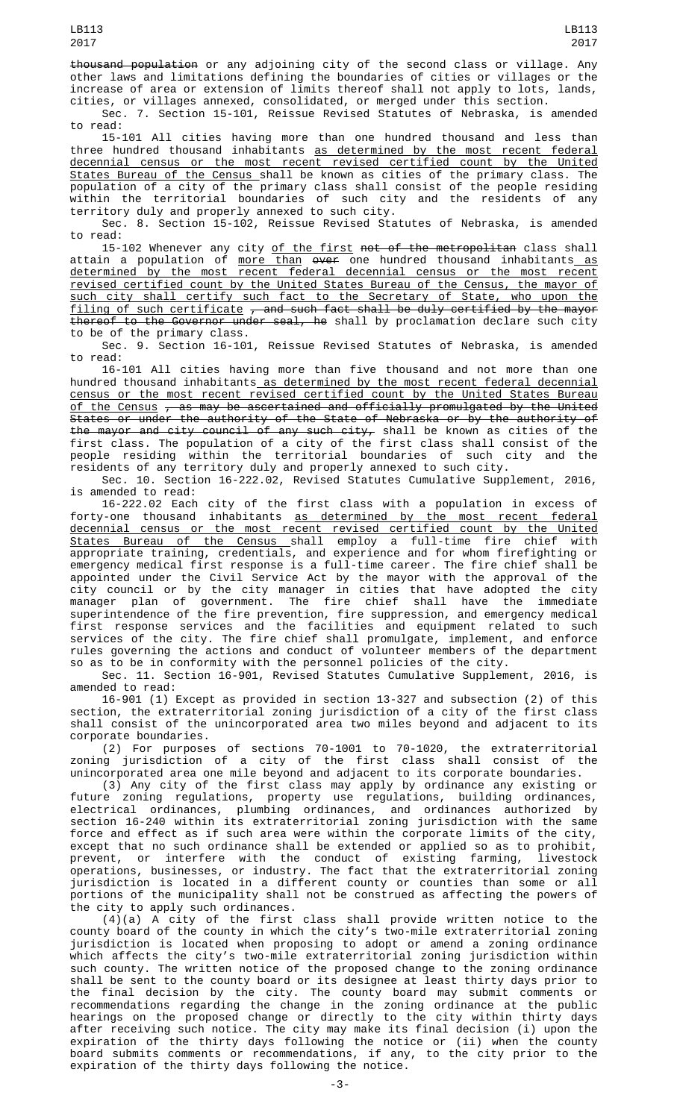thousand population or any adjoining city of the second class or village. Any other laws and limitations defining the boundaries of cities or villages or the increase of area or extension of limits thereof shall not apply to lots, lands, cities, or villages annexed, consolidated, or merged under this section.

Sec. 7. Section 15-101, Reissue Revised Statutes of Nebraska, is amended to read:

15-101 All cities having more than one hundred thousand and less than three hundred thousand inhabitants <u>as determined by the most recent federal</u> decennial census or the most recent revised certified count by the United States Bureau of the Census shall be known as cities of the primary class. The population of a city of the primary class shall consist of the people residing within the territorial boundaries of such city and the residents of any territory duly and properly annexed to such city.

Sec. 8. Section 15-102, Reissue Revised Statutes of Nebraska, is amended to read:

15-102 Whenever any city <u>of the first</u> <del>not of the metropolitan</del> class shall attain a population of <u>more than</u> <del>over</del> one hundred thousand inhabitants<u> as</u> determined by the most recent federal decennial census or the most recent revised certified count by the United States Bureau of the Census, the mayor of such city shall certify such fact to the Secretary of State, who upon the <u>filing of such certificate</u>  $_\tau$  and such fact shall be duly certified by the mayor thereof to the Governor under seal, he shall by proclamation declare such city to be of the primary class.

Sec. 9. Section 16-101, Reissue Revised Statutes of Nebraska, is amended to read:

16-101 All cities having more than five thousand and not more than one hundred thousand inhabitants as determined by the most recent federal decennial census or the most recent revised certified count by the United States Bureau <u>of the Census</u> <del>, as may be ascertained and officially promulgated by the United</del> States or under the authority of the State of Nebraska or by the authority of the mayor and city council of any such city, shall be known as cities of the first class. The population of a city of the first class shall consist of the people residing within the territorial boundaries of such city and the residents of any territory duly and properly annexed to such city.

Sec. 10. Section 16-222.02, Revised Statutes Cumulative Supplement, 2016, is amended to read:

16-222.02 Each city of the first class with a population in excess of forty-one thousand inhabitants as determined by the most recent federal decennial census or the most recent revised certified count by the United States Bureau of the Census shall employ a full-time fire chief with appropriate training, credentials, and experience and for whom firefighting or emergency medical first response is a full-time career. The fire chief shall be appointed under the Civil Service Act by the mayor with the approval of the city council or by the city manager in cities that have adopted the city manager plan of government. The fire chief shall have the immediate superintendence of the fire prevention, fire suppression, and emergency medical first response services and the facilities and equipment related to such services of the city. The fire chief shall promulgate, implement, and enforce rules governing the actions and conduct of volunteer members of the department so as to be in conformity with the personnel policies of the city.

Sec. 11. Section 16-901, Revised Statutes Cumulative Supplement, 2016, is amended to read:

16-901 (1) Except as provided in section 13-327 and subsection (2) of this section, the extraterritorial zoning jurisdiction of a city of the first class shall consist of the unincorporated area two miles beyond and adjacent to its corporate boundaries.

(2) For purposes of sections 70-1001 to 70-1020, the extraterritorial zoning jurisdiction of a city of the first class shall consist of the unincorporated area one mile beyond and adjacent to its corporate boundaries.

(3) Any city of the first class may apply by ordinance any existing or future zoning regulations, property use regulations, building ordinances, electrical ordinances, plumbing ordinances, and ordinances authorized by section 16-240 within its extraterritorial zoning jurisdiction with the same force and effect as if such area were within the corporate limits of the city, except that no such ordinance shall be extended or applied so as to prohibit, prevent, or interfere with the conduct of existing farming, livestock operations, businesses, or industry. The fact that the extraterritorial zoning jurisdiction is located in a different county or counties than some or all portions of the municipality shall not be construed as affecting the powers of the city to apply such ordinances.

(4)(a) A city of the first class shall provide written notice to the county board of the county in which the city's two-mile extraterritorial zoning jurisdiction is located when proposing to adopt or amend a zoning ordinance which affects the city's two-mile extraterritorial zoning jurisdiction within such county. The written notice of the proposed change to the zoning ordinance shall be sent to the county board or its designee at least thirty days prior to the final decision by the city. The county board may submit comments or recommendations regarding the change in the zoning ordinance at the public hearings on the proposed change or directly to the city within thirty days after receiving such notice. The city may make its final decision (i) upon the expiration of the thirty days following the notice or (ii) when the county board submits comments or recommendations, if any, to the city prior to the expiration of the thirty days following the notice.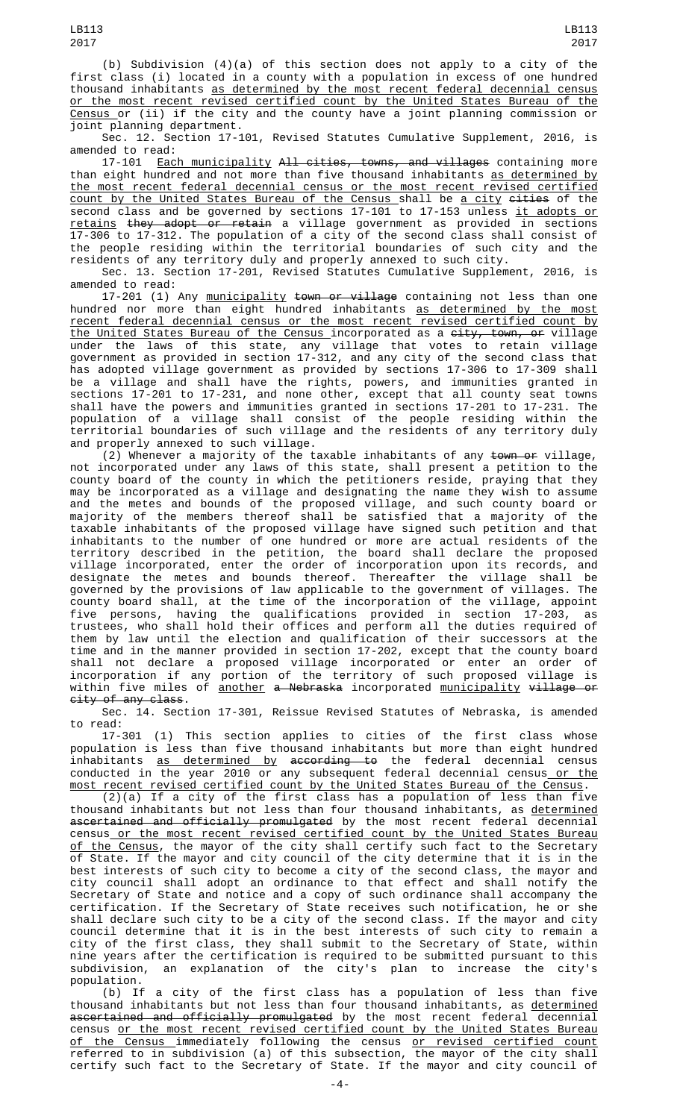(b) Subdivision (4)(a) of this section does not apply to a city of the first class (i) located in a county with a population in excess of one hundred thousand inhabitants as determined by the most recent federal decennial census or the most recent revised certified count by the United States Bureau of the Census or (ii) if the city and the county have a joint planning commission or joint planning department.

Sec. 12. Section 17-101, Revised Statutes Cumulative Supplement, 2016, is amended to read:

17-101 <u>Each municipality</u> <del>All cities, towns, and villages</del> containing more than eight hundred and not more than five thousand inhabitants as determined by the most recent federal decennial census or the most recent revised certified <u>count by the United States Bureau of the Census shall be a city <del>cities</del> of the</u> second class and be governed by sections 17-101 to 17-153 unless <u>it adopts or</u> <u>retains</u> <del>they adopt or retain</del> a village government as provided in sections 17-306 to 17-312. The population of a city of the second class shall consist of the people residing within the territorial boundaries of such city and the residents of any territory duly and properly annexed to such city.

Sec. 13. Section 17-201, Revised Statutes Cumulative Supplement, 2016, is amended to read:

17-201 (1) Any <u>municipality</u> <del>town or village</del> containing not less than one hundred nor more than eight hundred inhabitants <u>as determined by the most</u> recent federal decennial census or the most recent revised certified count by <u>the United States Bureau of the Census </u>incorporated as a <del>city, town, or</del> village under the laws of this state, any village that votes to retain village government as provided in section 17-312, and any city of the second class that has adopted village government as provided by sections 17-306 to 17-309 shall be a village and shall have the rights, powers, and immunities granted in sections 17-201 to 17-231, and none other, except that all county seat towns shall have the powers and immunities granted in sections 17-201 to 17-231. The population of a village shall consist of the people residing within the territorial boundaries of such village and the residents of any territory duly and properly annexed to such village.

(2) Whenever a majority of the taxable inhabitants of any town or village, not incorporated under any laws of this state, shall present a petition to the county board of the county in which the petitioners reside, praying that they may be incorporated as a village and designating the name they wish to assume and the metes and bounds of the proposed village, and such county board or majority of the members thereof shall be satisfied that a majority of the taxable inhabitants of the proposed village have signed such petition and that inhabitants to the number of one hundred or more are actual residents of the territory described in the petition, the board shall declare the proposed village incorporated, enter the order of incorporation upon its records, and designate the metes and bounds thereof. Thereafter the village shall be governed by the provisions of law applicable to the government of villages. The county board shall, at the time of the incorporation of the village, appoint five persons, having the qualifications provided in section 17-203, as trustees, who shall hold their offices and perform all the duties required of them by law until the election and qualification of their successors at the time and in the manner provided in section 17-202, except that the county board shall not declare a proposed village incorporated or enter an order of incorporation if any portion of the territory of such proposed village is within five miles of <u>another</u> <del>a Nebraska</del> incorporated <u>municipality</u> <del>village or</del> city of any class.

Sec. 14. Section 17-301, Reissue Revised Statutes of Nebraska, is amended to read:

17-301 (1) This section applies to cities of the first class whose population is less than five thousand inhabitants but more than eight hundred inhabitants <u>as determined by</u> <del>according to</del> the federal decennial census conducted in the year 2010 or any subsequent federal decennial census\_<u>or the</u> most recent revised certified count by the United States Bureau of the Census.

(2)(a) If a city of the first class has a population of less than five thousand inhabitants but not less than four thousand inhabitants, as determined ascertained and officially promulgated by the most recent federal decennial census or the most recent revised certified count by the United States Bureau <u>of the Census</u>, the mayor of the city shall certify such fact to the Secretary of State. If the mayor and city council of the city determine that it is in the best interests of such city to become a city of the second class, the mayor and city council shall adopt an ordinance to that effect and shall notify the Secretary of State and notice and a copy of such ordinance shall accompany the certification. If the Secretary of State receives such notification, he or she shall declare such city to be a city of the second class. If the mayor and city council determine that it is in the best interests of such city to remain a city of the first class, they shall submit to the Secretary of State, within nine years after the certification is required to be submitted pursuant to this subdivision, an explanation of the city's plan to increase the city's population.

(b) If a city of the first class has a population of less than five thousand inhabitants but not less than four thousand inhabitants, as determined ascertained and officially promulgated by the most recent federal decennial census or the most recent revised certified count by the United States Bureau <u>of the Census </u>immediately following the census <u>or revised certified count</u> referred to in subdivision (a) of this subsection, the mayor of the city shall certify such fact to the Secretary of State. If the mayor and city council of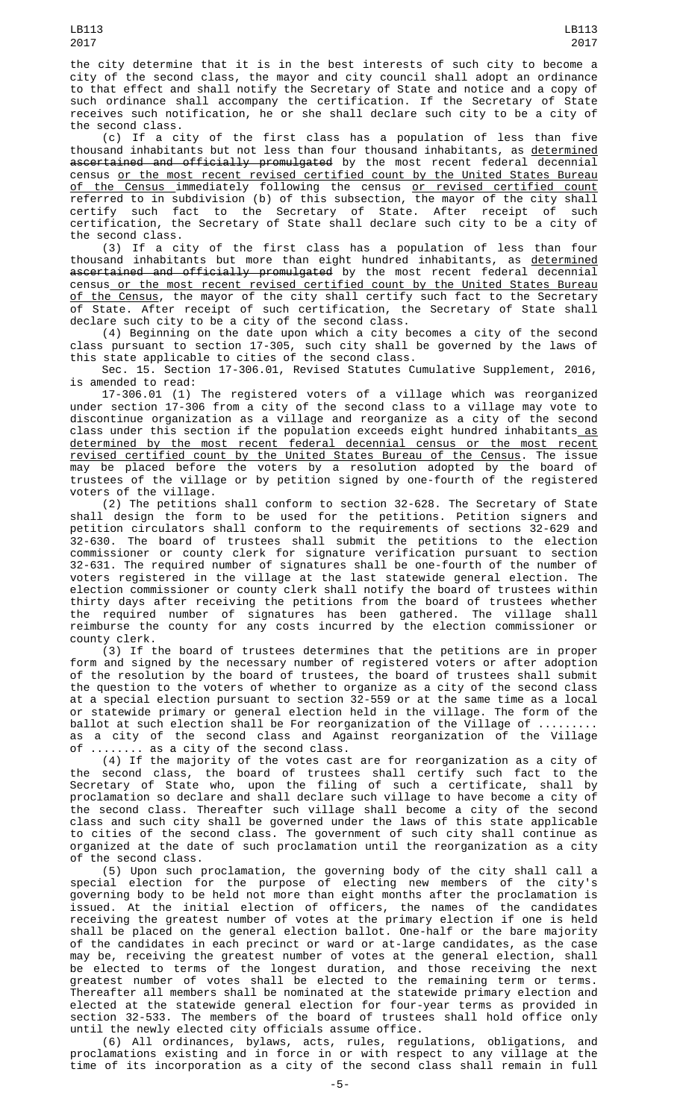the city determine that it is in the best interests of such city to become a city of the second class, the mayor and city council shall adopt an ordinance to that effect and shall notify the Secretary of State and notice and a copy of such ordinance shall accompany the certification. If the Secretary of State receives such notification, he or she shall declare such city to be a city of the second class.

(c) If a city of the first class has a population of less than five thousand inhabitants but not less than four thousand inhabitants, as determined ascertained and officially promulgated by the most recent federal decennial census or the most recent revised certified count by the United States Bureau <u>of the Census </u>immediately following the census <u>or revised certified count</u> referred to in subdivision (b) of this subsection, the mayor of the city shall certify such fact to the Secretary of State. After receipt of such certification, the Secretary of State shall declare such city to be a city of the second class.

(3) If a city of the first class has a population of less than four thousand inhabitants but more than eight hundred inhabitants, as <u>determined</u> ascertained and officially promulgated by the most recent federal decennial census or the most recent revised certified count by the United States Bureau <u>of the Census</u>, the mayor of the city shall certify such fact to the Secretary of State. After receipt of such certification, the Secretary of State shall declare such city to be a city of the second class.

(4) Beginning on the date upon which a city becomes a city of the second class pursuant to section 17-305, such city shall be governed by the laws of this state applicable to cities of the second class.

Sec. 15. Section 17-306.01, Revised Statutes Cumulative Supplement, 2016, is amended to read:

17-306.01 (1) The registered voters of a village which was reorganized under section 17-306 from a city of the second class to a village may vote to discontinue organization as a village and reorganize as a city of the second class under this section if the population exceeds eight hundred inhabitants\_<u>as</u> determined by the most recent federal decennial census or the most recent revised certified count by the United States Bureau of the Census. The issue may be placed before the voters by a resolution adopted by the board of trustees of the village or by petition signed by one-fourth of the registered voters of the village.

(2) The petitions shall conform to section 32-628. The Secretary of State shall design the form to be used for the petitions. Petition signers and petition circulators shall conform to the requirements of sections 32-629 and 32-630. The board of trustees shall submit the petitions to the election commissioner or county clerk for signature verification pursuant to section 32-631. The required number of signatures shall be one-fourth of the number of voters registered in the village at the last statewide general election. The election commissioner or county clerk shall notify the board of trustees within thirty days after receiving the petitions from the board of trustees whether the required number of signatures has been gathered. The village shall reimburse the county for any costs incurred by the election commissioner or county clerk.

(3) If the board of trustees determines that the petitions are in proper form and signed by the necessary number of registered voters or after adoption of the resolution by the board of trustees, the board of trustees shall submit the question to the voters of whether to organize as a city of the second class at a special election pursuant to section 32-559 or at the same time as a local or statewide primary or general election held in the village. The form of the ballot at such election shall be For reorganization of the Village of ......... as a city of the second class and Against reorganization of the Village of ........ as a city of the second class.

(4) If the majority of the votes cast are for reorganization as a city of the second class, the board of trustees shall certify such fact to the Secretary of State who, upon the filing of such a certificate, shall by proclamation so declare and shall declare such village to have become a city of the second class. Thereafter such village shall become a city of the second class and such city shall be governed under the laws of this state applicable to cities of the second class. The government of such city shall continue as organized at the date of such proclamation until the reorganization as a city of the second class.

(5) Upon such proclamation, the governing body of the city shall call a special election for the purpose of electing new members of the city's governing body to be held not more than eight months after the proclamation is issued. At the initial election of officers, the names of the candidates receiving the greatest number of votes at the primary election if one is held shall be placed on the general election ballot. One-half or the bare majority of the candidates in each precinct or ward or at-large candidates, as the case may be, receiving the greatest number of votes at the general election, shall be elected to terms of the longest duration, and those receiving the next greatest number of votes shall be elected to the remaining term or terms. Thereafter all members shall be nominated at the statewide primary election and elected at the statewide general election for four-year terms as provided in section 32-533. The members of the board of trustees shall hold office only until the newly elected city officials assume office.

(6) All ordinances, bylaws, acts, rules, regulations, obligations, and proclamations existing and in force in or with respect to any village at the time of its incorporation as a city of the second class shall remain in full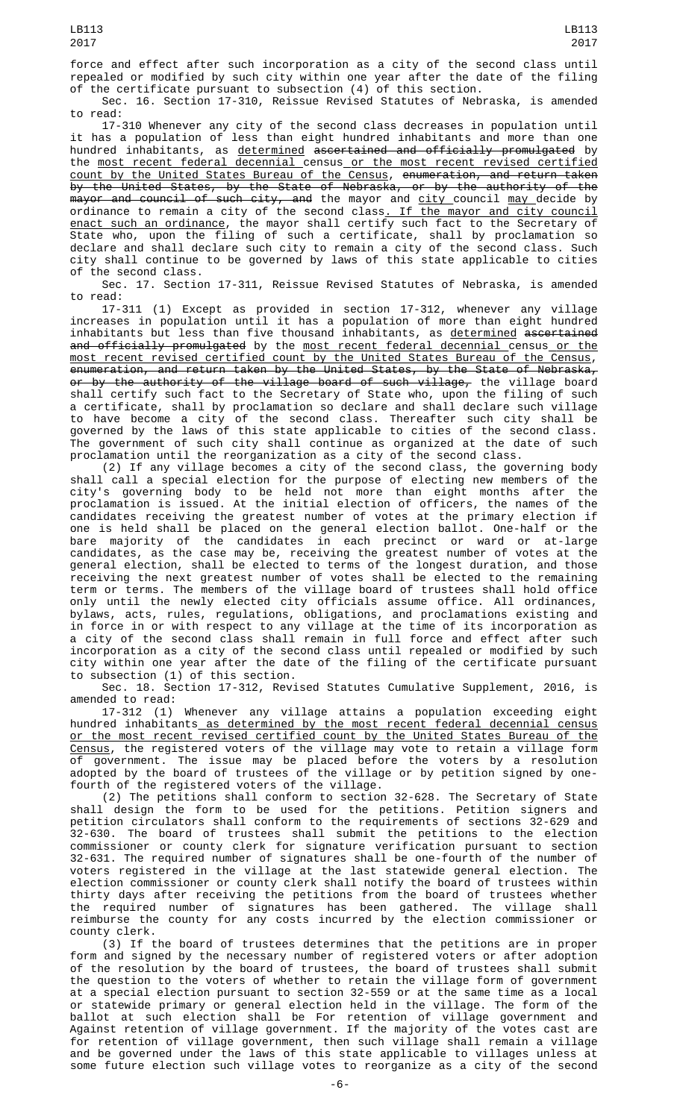force and effect after such incorporation as a city of the second class until repealed or modified by such city within one year after the date of the filing of the certificate pursuant to subsection (4) of this section.

Sec. 16. Section 17-310, Reissue Revised Statutes of Nebraska, is amended to read:

17-310 Whenever any city of the second class decreases in population until it has a population of less than eight hundred inhabitants and more than one hundred inhabitants, as <u>determined</u> <del>ascertained and officially promulgated</del> by the most recent federal decennial census or the most recent revised certified count by the United States Bureau of the Census, enumeration, and return taken by the United States, by the State of Nebraska, or by the authority of the m<del>ayor and council of such city, and</del> the mayor and <u>city c</u>ouncil <u>may </u>decide by ordinance to remain a city of the second class<u>. If the mayor and city council</u> enact such an ordinance, the mayor shall certify such fact to the Secretary of State who, upon the filing of such a certificate, shall by proclamation so declare and shall declare such city to remain a city of the second class. Such city shall continue to be governed by laws of this state applicable to cities of the second class.

Sec. 17. Section 17-311, Reissue Revised Statutes of Nebraska, is amended

to read:<br>17-311 (1) Except as provided in section 17-312, whenever any village increases in population until it has a population of more than eight hundred inhabitants but less than five thousand inhabitants, as <u>determined</u> <del>ascertained</del> and officially promulgated by the most recent federal decennial census or the most recent revised certified count by the United States Bureau of the Census, enumeration, and return taken by the United States, by the State of Nebraska, o<del>r by the authority of the village board of such village,</del> the village board

shall certify such fact to the Secretary of State who, upon the filing of such a certificate, shall by proclamation so declare and shall declare such village to have become a city of the second class. Thereafter such city shall be governed by the laws of this state applicable to cities of the second class. The government of such city shall continue as organized at the date of such proclamation until the reorganization as a city of the second class.

(2) If any village becomes a city of the second class, the governing body shall call a special election for the purpose of electing new members of the city's governing body to be held not more than eight months after the proclamation is issued. At the initial election of officers, the names of the candidates receiving the greatest number of votes at the primary election if one is held shall be placed on the general election ballot. One-half or the bare majority of the candidates in each precinct or ward or at-large candidates, as the case may be, receiving the greatest number of votes at the general election, shall be elected to terms of the longest duration, and those receiving the next greatest number of votes shall be elected to the remaining term or terms. The members of the village board of trustees shall hold office only until the newly elected city officials assume office. All ordinances, bylaws, acts, rules, regulations, obligations, and proclamations existing and in force in or with respect to any village at the time of its incorporation as a city of the second class shall remain in full force and effect after such incorporation as a city of the second class until repealed or modified by such city within one year after the date of the filing of the certificate pursuant to subsection (1) of this section.

Sec. 18. Section 17-312, Revised Statutes Cumulative Supplement, 2016, is amended to read:

17-312 (1) Whenever any village attains a population exceeding eight hundred inhabitants as determined by the most recent federal decennial census or the most recent revised certified count by the United States Bureau of the Census, the registered voters of the village may vote to retain a village form of government. The issue may be placed before the voters by a resolution adopted by the board of trustees of the village or by petition signed by onefourth of the registered voters of the village.

(2) The petitions shall conform to section 32-628. The Secretary of State shall design the form to be used for the petitions. Petition signers and petition circulators shall conform to the requirements of sections 32-629 and 32-630. The board of trustees shall submit the petitions to the election commissioner or county clerk for signature verification pursuant to section 32-631. The required number of signatures shall be one-fourth of the number of voters registered in the village at the last statewide general election. The election commissioner or county clerk shall notify the board of trustees within thirty days after receiving the petitions from the board of trustees whether the required number of signatures has been gathered. The village shall reimburse the county for any costs incurred by the election commissioner or county clerk.

(3) If the board of trustees determines that the petitions are in proper form and signed by the necessary number of registered voters or after adoption of the resolution by the board of trustees, the board of trustees shall submit the question to the voters of whether to retain the village form of government at a special election pursuant to section 32-559 or at the same time as a local or statewide primary or general election held in the village. The form of the ballot at such election shall be For retention of village government and Against retention of village government. If the majority of the votes cast are for retention of village government, then such village shall remain a village and be governed under the laws of this state applicable to villages unless at some future election such village votes to reorganize as a city of the second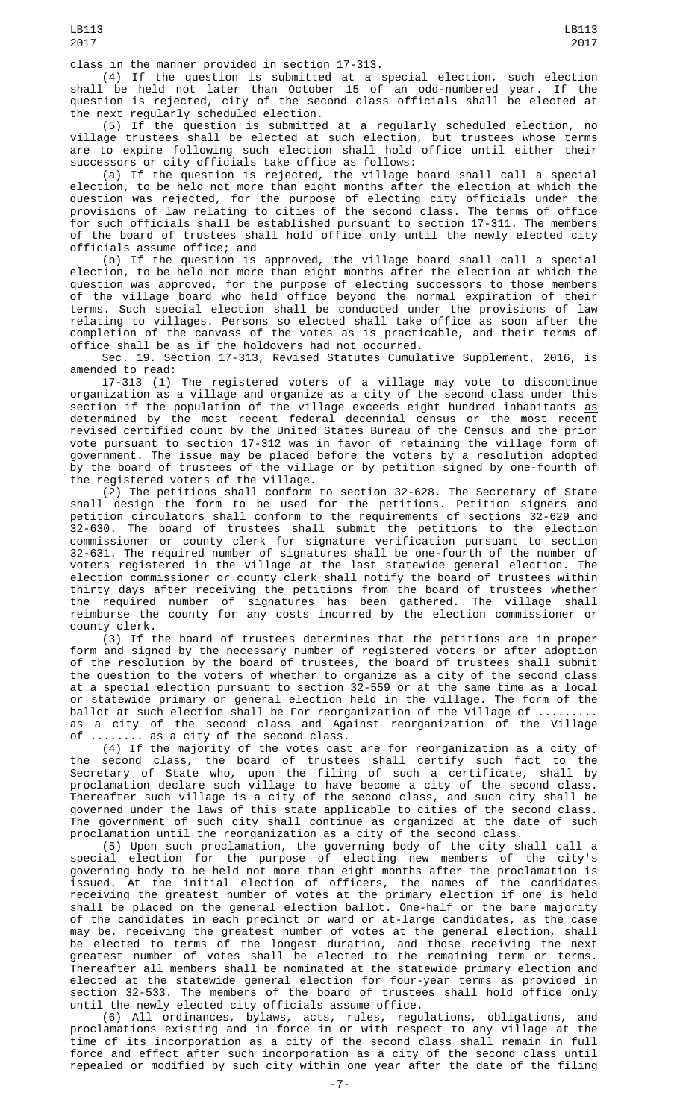class in the manner provided in section 17-313.

(4) If the question is submitted at a special election, such election shall be held not later than October 15 of an odd-numbered year. If the question is rejected, city of the second class officials shall be elected at the next regularly scheduled election.

(5) If the question is submitted at a regularly scheduled election, no village trustees shall be elected at such election, but trustees whose terms are to expire following such election shall hold office until either their successors or city officials take office as follows:

(a) If the question is rejected, the village board shall call a special election, to be held not more than eight months after the election at which the question was rejected, for the purpose of electing city officials under the provisions of law relating to cities of the second class. The terms of office for such officials shall be established pursuant to section 17-311. The members of the board of trustees shall hold office only until the newly elected city officials assume office; and

(b) If the question is approved, the village board shall call a special election, to be held not more than eight months after the election at which the question was approved, for the purpose of electing successors to those members of the village board who held office beyond the normal expiration of their terms. Such special election shall be conducted under the provisions of law relating to villages. Persons so elected shall take office as soon after the completion of the canvass of the votes as is practicable, and their terms of office shall be as if the holdovers had not occurred.

Sec. 19. Section 17-313, Revised Statutes Cumulative Supplement, 2016, is amended to read:

17-313 (1) The registered voters of a village may vote to discontinue organization as a village and organize as a city of the second class under this section if the population of the village exceeds eight hundred inhabitants as determined by the most recent federal decennial census or the most recent revised certified count by the United States Bureau of the Census and the prior vote pursuant to section 17-312 was in favor of retaining the village form of government. The issue may be placed before the voters by a resolution adopted by the board of trustees of the village or by petition signed by one-fourth of the registered voters of the village.

(2) The petitions shall conform to section 32-628. The Secretary of State shall design the form to be used for the petitions. Petition signers and petition circulators shall conform to the requirements of sections 32-629 and 32-630. The board of trustees shall submit the petitions to the election commissioner or county clerk for signature verification pursuant to section 32-631. The required number of signatures shall be one-fourth of the number of voters registered in the village at the last statewide general election. The election commissioner or county clerk shall notify the board of trustees within thirty days after receiving the petitions from the board of trustees whether the required number of signatures has been gathered. The village shall reimburse the county for any costs incurred by the election commissioner or county clerk.

(3) If the board of trustees determines that the petitions are in proper form and signed by the necessary number of registered voters or after adoption of the resolution by the board of trustees, the board of trustees shall submit the question to the voters of whether to organize as a city of the second class at a special election pursuant to section 32-559 or at the same time as a local or statewide primary or general election held in the village. The form of the ballot at such election shall be For reorganization of the Village of ......... as a city of the second class and Against reorganization of the Village of ........ as a city of the second class.

(4) If the majority of the votes cast are for reorganization as a city of the second class, the board of trustees shall certify such fact to the Secretary of State who, upon the filing of such a certificate, shall by proclamation declare such village to have become a city of the second class. Thereafter such village is a city of the second class, and such city shall be governed under the laws of this state applicable to cities of the second class. The government of such city shall continue as organized at the date of such proclamation until the reorganization as a city of the second class.

(5) Upon such proclamation, the governing body of the city shall call a special election for the purpose of electing new members of the city's governing body to be held not more than eight months after the proclamation is issued. At the initial election of officers, the names of the candidates receiving the greatest number of votes at the primary election if one is held shall be placed on the general election ballot. One-half or the bare majority of the candidates in each precinct or ward or at-large candidates, as the case may be, receiving the greatest number of votes at the general election, shall be elected to terms of the longest duration, and those receiving the next greatest number of votes shall be elected to the remaining term or terms. Thereafter all members shall be nominated at the statewide primary election and elected at the statewide general election for four-year terms as provided in section 32-533. The members of the board of trustees shall hold office only until the newly elected city officials assume office.

(6) All ordinances, bylaws, acts, rules, regulations, obligations, and proclamations existing and in force in or with respect to any village at the time of its incorporation as a city of the second class shall remain in full force and effect after such incorporation as a city of the second class until repealed or modified by such city within one year after the date of the filing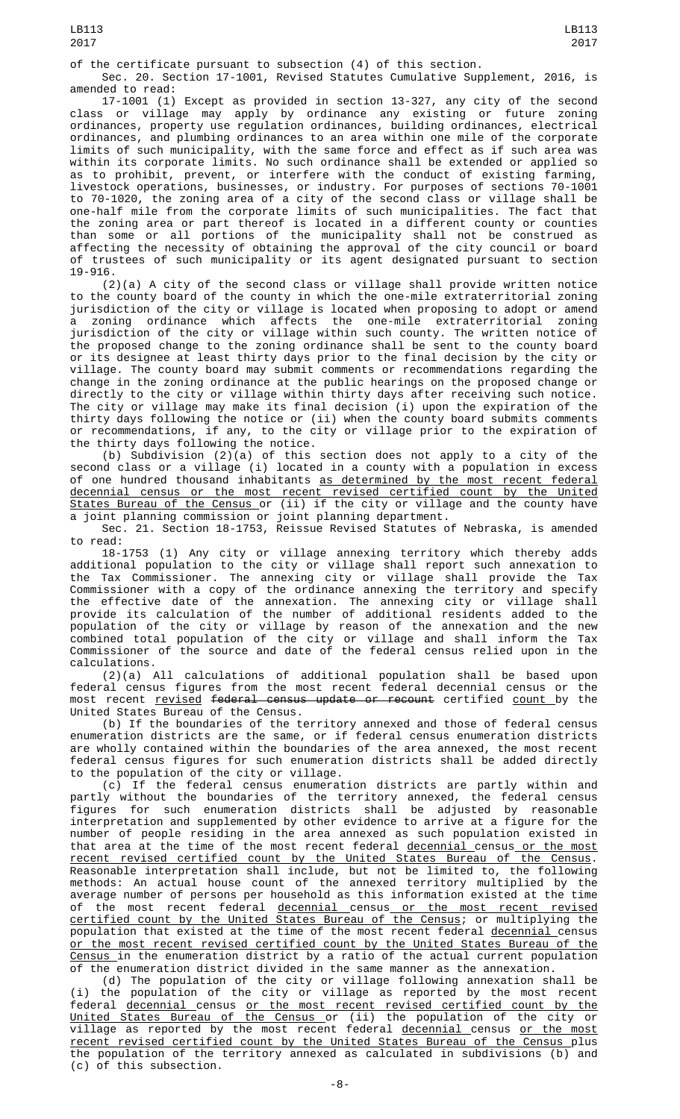of the certificate pursuant to subsection (4) of this section.

Sec. 20. Section 17-1001, Revised Statutes Cumulative Supplement, 2016, is amended to read:

17-1001 (1) Except as provided in section 13-327, any city of the second class or village may apply by ordinance any existing or future zoning ordinances, property use regulation ordinances, building ordinances, electrical ordinances, and plumbing ordinances to an area within one mile of the corporate limits of such municipality, with the same force and effect as if such area was within its corporate limits. No such ordinance shall be extended or applied so as to prohibit, prevent, or interfere with the conduct of existing farming, livestock operations, businesses, or industry. For purposes of sections 70-1001 to 70-1020, the zoning area of a city of the second class or village shall be one-half mile from the corporate limits of such municipalities. The fact that the zoning area or part thereof is located in a different county or counties than some or all portions of the municipality shall not be construed as affecting the necessity of obtaining the approval of the city council or board of trustees of such municipality or its agent designated pursuant to section 19-916.

(2)(a) A city of the second class or village shall provide written notice to the county board of the county in which the one-mile extraterritorial zoning jurisdiction of the city or village is located when proposing to adopt or amend a zoning ordinance which affects the one-mile extraterritorial zoning jurisdiction of the city or village within such county. The written notice of the proposed change to the zoning ordinance shall be sent to the county board or its designee at least thirty days prior to the final decision by the city or village. The county board may submit comments or recommendations regarding the change in the zoning ordinance at the public hearings on the proposed change or directly to the city or village within thirty days after receiving such notice. The city or village may make its final decision (i) upon the expiration of the thirty days following the notice or (ii) when the county board submits comments or recommendations, if any, to the city or village prior to the expiration of the thirty days following the notice.

(b) Subdivision (2)(a) of this section does not apply to a city of the second class or a village (i) located in a county with a population in excess of one hundred thousand inhabitants <u>as determined by the most recent federal</u> decennial census or the most recent revised certified count by the United <u>States Bureau of the Census </u>or (ii) if the city or village and the county have a joint planning commission or joint planning department.

Sec. 21. Section 18-1753, Reissue Revised Statutes of Nebraska, is amended to read:

18-1753 (1) Any city or village annexing territory which thereby adds additional population to the city or village shall report such annexation to the Tax Commissioner. The annexing city or village shall provide the Tax Commissioner with a copy of the ordinance annexing the territory and specify the effective date of the annexation. The annexing city or village shall provide its calculation of the number of additional residents added to the population of the city or village by reason of the annexation and the new combined total population of the city or village and shall inform the Tax Commissioner of the source and date of the federal census relied upon in the calculations.

(2)(a) All calculations of additional population shall be based upon federal census figures from the most recent federal decennial census or the most recent <u>revised</u> <del>federal census update or recount</del> certified <u>count </u>by the United States Bureau of the Census.

(b) If the boundaries of the territory annexed and those of federal census enumeration districts are the same, or if federal census enumeration districts are wholly contained within the boundaries of the area annexed, the most recent federal census figures for such enumeration districts shall be added directly to the population of the city or village.

(c) If the federal census enumeration districts are partly within and partly without the boundaries of the territory annexed, the federal census figures for such enumeration districts shall be adjusted by reasonable interpretation and supplemented by other evidence to arrive at a figure for the number of people residing in the area annexed as such population existed in that area at the time of the most recent federal <u>decennial census or the most</u> recent revised certified count by the United States Bureau of the Census. Reasonable interpretation shall include, but not be limited to, the following methods: An actual house count of the annexed territory multiplied by the average number of persons per household as this information existed at the time of the most recent federal <u>decennial c</u>ensus<u> or the most recent revised</u> certified count by the United States Bureau of the Census; or multiplying the population that existed at the time of the most recent federal <u>decennial </u>census or the most recent revised certified count by the United States Bureau of the Census in the enumeration district by a ratio of the actual current population of the enumeration district divided in the same manner as the annexation.

(d) The population of the city or village following annexation shall be (i) the population of the city or village as reported by the most recent federal decennial census or the most recent revised certified count by the United States Bureau of the Census or (ii) the population of the city or village as reported by the most recent federal <u>decennial c</u>ensus <u>or the most</u> recent revised certified count by the United States Bureau of the Census plus the population of the territory annexed as calculated in subdivisions (b) and (c) of this subsection.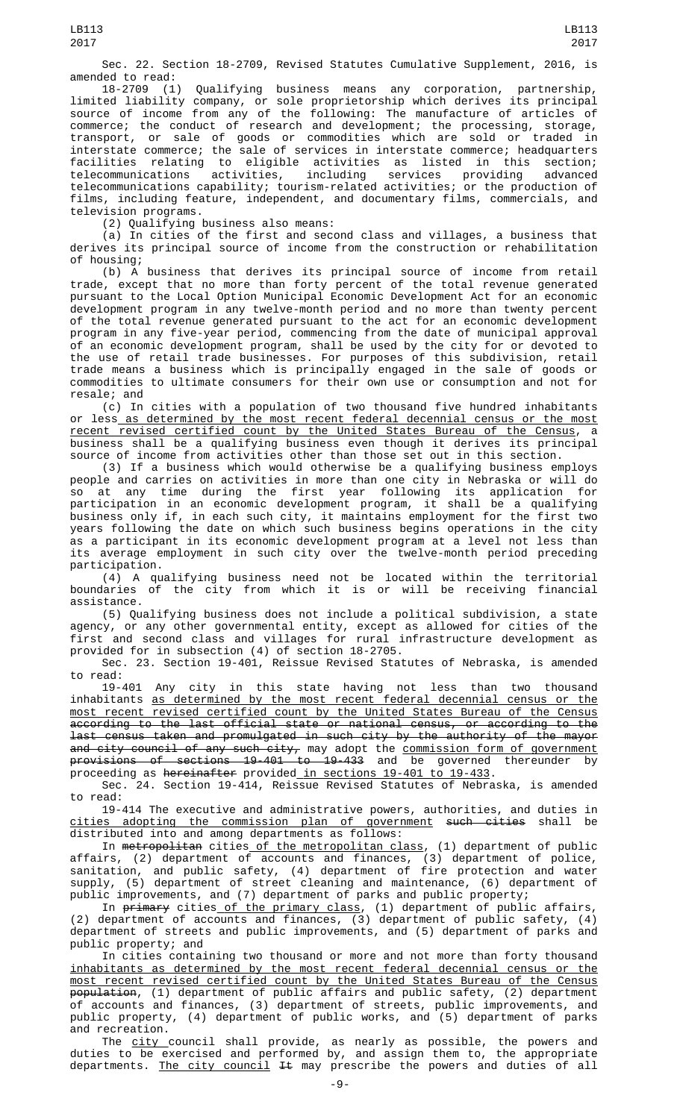Sec. 22. Section 18-2709, Revised Statutes Cumulative Supplement, 2016, is amended to read:

18-2709 (1) Qualifying business means any corporation, partnership, limited liability company, or sole proprietorship which derives its principal source of income from any of the following: The manufacture of articles of commerce; the conduct of research and development; the processing, storage, transport, or sale of goods or commodities which are sold or traded in interstate commerce; the sale of services in interstate commerce; headquarters facilities relating to eligible activities as listed in this section; telecommunications activities, including services providing advanced telecommunications capability; tourism-related activities; or the production of films, including feature, independent, and documentary films, commercials, and television programs.

(2) Qualifying business also means:

(a) In cities of the first and second class and villages, a business that derives its principal source of income from the construction or rehabilitation of housing;

(b) A business that derives its principal source of income from retail trade, except that no more than forty percent of the total revenue generated pursuant to the Local Option Municipal Economic Development Act for an economic development program in any twelve-month period and no more than twenty percent of the total revenue generated pursuant to the act for an economic development program in any five-year period, commencing from the date of municipal approval of an economic development program, shall be used by the city for or devoted to the use of retail trade businesses. For purposes of this subdivision, retail trade means a business which is principally engaged in the sale of goods or commodities to ultimate consumers for their own use or consumption and not for resale; and

(c) In cities with a population of two thousand five hundred inhabitants or less<u> as determined by the most recent federal decennial census or the most</u> recent revised certified count by the United States Bureau of the Census, a business shall be a qualifying business even though it derives its principal source of income from activities other than those set out in this section.

(3) If a business which would otherwise be a qualifying business employs people and carries on activities in more than one city in Nebraska or will do so at any time during the first year following its application for participation in an economic development program, it shall be a qualifying business only if, in each such city, it maintains employment for the first two years following the date on which such business begins operations in the city as a participant in its economic development program at a level not less than its average employment in such city over the twelve-month period preceding participation.

(4) A qualifying business need not be located within the territorial boundaries of the city from which it is or will be receiving financial assistance.

(5) Qualifying business does not include a political subdivision, a state agency, or any other governmental entity, except as allowed for cities of the first and second class and villages for rural infrastructure development as provided for in subsection (4) of section 18-2705.

Sec. 23. Section 19-401, Reissue Revised Statutes of Nebraska, is amended to read:

19-401 Any city in this state having not less than two thousand inhabitants as determined by the most recent federal decennial census or the most recent revised certified count by the United States Bureau of the Census according to the last official state or national census, or according to the last census taken and promulgated in such city by the authority of the mayor and city council of any such city, may adopt the <u>commission form of government</u> provisions of sections 19-401 to 19-433 and be governed thereunder by proceeding as <del>hereinafter</del> provided<u> in sections 19-401 to 19-433</u>.

Sec. 24. Section 19-414, Reissue Revised Statutes of Nebraska, is amended to read:

19-414 The executive and administrative powers, authorities, and duties in <u>cities adopting the commission plan of government</u> <del>such cities</del> shall be distributed into and among departments as follows:

In <del>metropolitan</del> cities\_<u>of the metropolitan class</u>, (1) department of public affairs, (2) department of accounts and finances, (3) department of police, sanitation, and public safety, (4) department of fire protection and water supply, (5) department of street cleaning and maintenance, (6) department of public improvements, and (7) department of parks and public property;

In <del>primary</del> cities<u> of the primary class</u>, (1) department of public affairs, (2) department of accounts and finances, (3) department of public safety, (4) department of streets and public improvements, and (5) department of parks and public property; and

In cities containing two thousand or more and not more than forty thousand inhabitants as determined by the most recent federal decennial census or the most recent revised certified count by the United States Bureau of the Census <del>population</del>, (1) department of public affairs and public safety, (2) department of accounts and finances, (3) department of streets, public improvements, and public property, (4) department of public works, and (5) department of parks and recreation.

The <u>city c</u>ouncil shall provide, as nearly as possible, the powers and duties to be exercised and performed by, and assign them to, the appropriate departments. The city council It may prescribe the powers and duties of all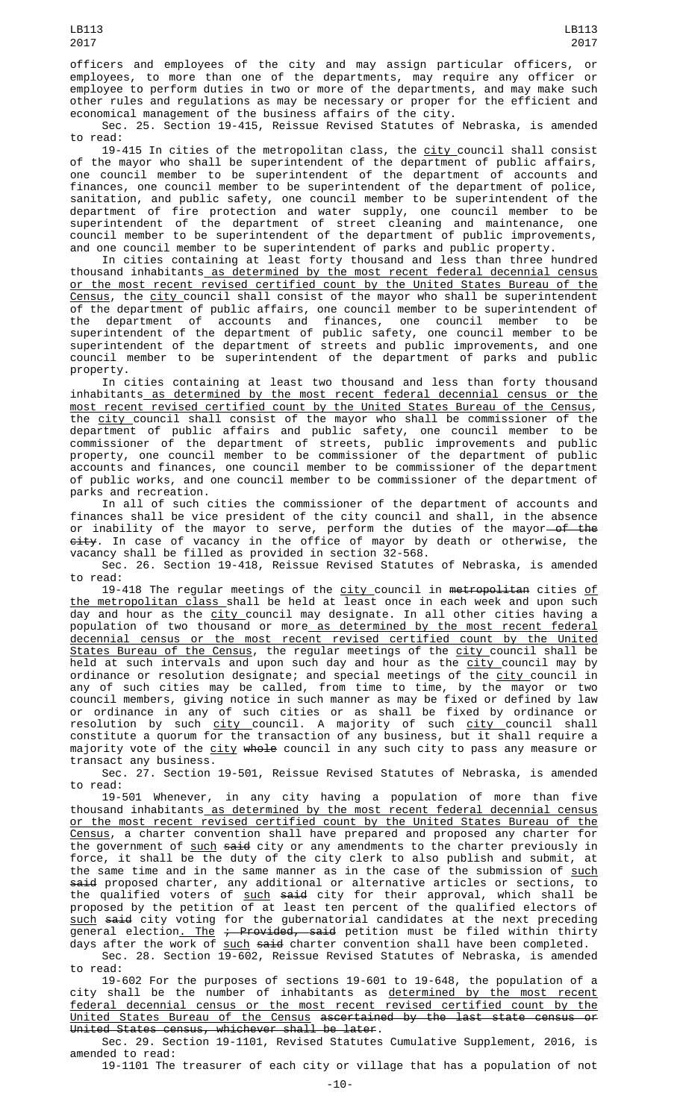officers and employees of the city and may assign particular officers, or employees, to more than one of the departments, may require any officer or employee to perform duties in two or more of the departments, and may make such other rules and regulations as may be necessary or proper for the efficient and economical management of the business affairs of the city.

Sec. 25. Section 19-415, Reissue Revised Statutes of Nebraska, is amended to read:

19-415 In cities of the metropolitan class, the <u>city c</u>ouncil shall consist of the mayor who shall be superintendent of the department of public affairs, one council member to be superintendent of the department of accounts and finances, one council member to be superintendent of the department of police, sanitation, and public safety, one council member to be superintendent of the department of fire protection and water supply, one council member to be superintendent of the department of street cleaning and maintenance, one council member to be superintendent of the department of public improvements, and one council member to be superintendent of parks and public property.

In cities containing at least forty thousand and less than three hundred thousand inhabitants as determined by the most recent federal decennial census or the most recent revised certified count by the United States Bureau of the <u>Census</u>, the <u>city c</u>ouncil shall consist of the mayor who shall be superintendent of the department of public affairs, one council member to be superintendent of the department of accounts and finances, one council member to be superintendent of the department of public safety, one council member to be superintendent of the department of streets and public improvements, and one council member to be superintendent of the department of parks and public property.

In cities containing at least two thousand and less than forty thousand inhabitants as determined by the most recent federal decennial census or the most recent revised certified count by the United States Bureau of the Census, the <u>city </u>council shall consist of the mayor who shall be commissioner of the department of public affairs and public safety, one council member to be commissioner of the department of streets, public improvements and public property, one council member to be commissioner of the department of public accounts and finances, one council member to be commissioner of the department of public works, and one council member to be commissioner of the department of parks and recreation.

In all of such cities the commissioner of the department of accounts and finances shall be vice president of the city council and shall, in the absence or inability of the mayor to serve, perform the duties of the mayor—<del>of the</del> <del>city</del>. In case of vacancy in the office of mayor by death or otherwise, the vacancy shall be filled as provided in section 32-568.

Sec. 26. Section 19-418, Reissue Revised Statutes of Nebraska, is amended to read:

19-418 The regular meetings of the <u>city </u>council in <del>metropolitan</del> cities <u>of</u> <u>the metropolitan class shall be held at least once in each week and upon such</u> day and hour as the city council may designate. In all other cities having a population of two thousand or more<u> as determined by the most recent federal</u> decennial census or the most recent revised certified count by the United <u>States Bureau of the Census</u>, the regular meetings of the <u>city c</u>ouncil shall be held at such intervals and upon such day and hour as the <u>city </u>council may by ordinance or resolution designate; and special meetings of the <u>city c</u>ouncil in any of such cities may be called, from time to time, by the mayor or two council members, giving notice in such manner as may be fixed or defined by law or ordinance in any of such cities or as shall be fixed by ordinance or resolution by such <u>city c</u>ouncil. A majority of such <u>city c</u>ouncil shall constitute a quorum for the transaction of any business, but it shall require a majority vote of the <u>city</u> <del>whole</del> council in any such city to pass any measure or transact any business.

Sec. 27. Section 19-501, Reissue Revised Statutes of Nebraska, is amended to read:

19-501 Whenever, in any city having a population of more than five thousand inhabitants as determined by the most recent federal decennial census or the most recent revised certified count by the United States Bureau of the Census, a charter convention shall have prepared and proposed any charter for the government of <u>such</u> <del>said</del> city or any amendments to the charter previously in force, it shall be the duty of the city clerk to also publish and submit, at the same time and in the same manner as in the case of the submission of <u>such</u> said proposed charter, any additional or alternative articles or sections, to the qualified voters of <u>such</u> <del>said</del> city for their approval, which shall be proposed by the petition of at least ten percent of the qualified electors of <u>such</u> <del>said</del> city voting for the gubernatorial candidates at the next preceding general election<u>. The</u> <del>; Provided, said</del> petition must be filed within thirty days after the work of <u>such</u> <del>said</del> charter convention shall have been completed.

Sec. 28. Section 19-602, Reissue Revised Statutes of Nebraska, is amended to read:

19-602 For the purposes of sections 19-601 to 19-648, the population of a city shall be the number of inhabitants as <u>determined by the most recent</u> federal decennial census or the most recent revised certified count by the United States Bureau of the Census ascertained by the last state census or United States census, whichever shall be later.

Sec. 29. Section 19-1101, Revised Statutes Cumulative Supplement, 2016, is amended to read:

19-1101 The treasurer of each city or village that has a population of not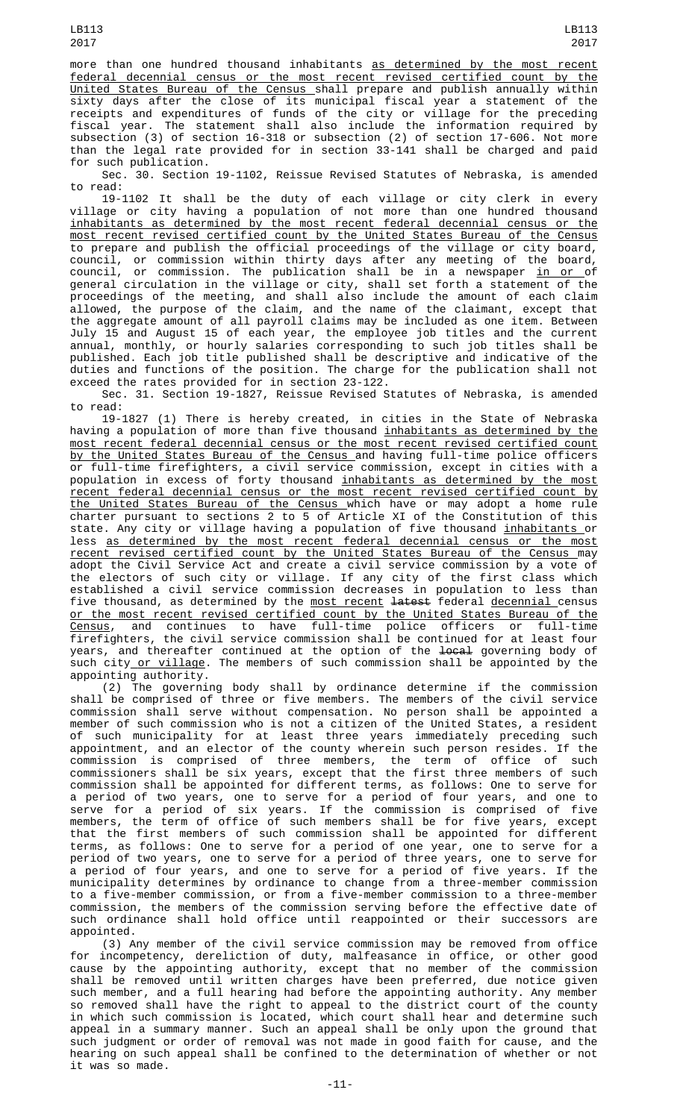LB113

United States Bureau of the Census shall prepare and publish annually within sixty days after the close of its municipal fiscal year a statement of the receipts and expenditures of funds of the city or village for the preceding fiscal year. The statement shall also include the information required by subsection (3) of section 16-318 or subsection (2) of section 17-606. Not more than the legal rate provided for in section 33-141 shall be charged and paid for such publication.

Sec. 30. Section 19-1102, Reissue Revised Statutes of Nebraska, is amended to read:

19-1102 It shall be the duty of each village or city clerk in every village or city having a population of not more than one hundred thousand inhabitants as determined by the most recent federal decennial census or the most recent revised certified count by the United States Bureau of the Census to prepare and publish the official proceedings of the village or city board, council, or commission within thirty days after any meeting of the board, council, or commission. The publication shall be in a newspaper <u>in or </u>of general circulation in the village or city, shall set forth a statement of the proceedings of the meeting, and shall also include the amount of each claim allowed, the purpose of the claim, and the name of the claimant, except that the aggregate amount of all payroll claims may be included as one item. Between July 15 and August 15 of each year, the employee job titles and the current annual, monthly, or hourly salaries corresponding to such job titles shall be published. Each job title published shall be descriptive and indicative of the duties and functions of the position. The charge for the publication shall not exceed the rates provided for in section 23-122.

Sec. 31. Section 19-1827, Reissue Revised Statutes of Nebraska, is amended to read:

19-1827 (1) There is hereby created, in cities in the State of Nebraska having a population of more than five thousand <u>inhabitants as determined by the</u> most recent federal decennial census or the most recent revised certified count by the United States Bureau of the Census and having full-time police officers or full-time firefighters, a civil service commission, except in cities with a population in excess of forty thousand <u>inhabitants as determined by the most</u> recent federal decennial census or the most recent revised certified count by the United States Bureau of the Census which have or may adopt a home rule charter pursuant to sections 2 to 5 of Article XI of the Constitution of this state. Any city or village having a population of five thousand <u>inhabitants </u>or less as determined by the most recent federal decennial census or the most recent revised certified count by the United States Bureau of the Census may adopt the Civil Service Act and create a civil service commission by a vote of the electors of such city or village. If any city of the first class which established a civil service commission decreases in population to less than five thousand, as determined by the <u>most recent</u> <del>latest</del> federal <u>decennial </u>census or the most recent revised certified count by the United States Bureau of the Census, and continues to have full-time police officers or full-time firefighters, the civil service commission shall be continued for at least four years, and thereafter continued at the option of the <del>local</del> governing body of such city<u> or village</u>. The members of such commission shall be appointed by the appointing authority.

(2) The governing body shall by ordinance determine if the commission shall be comprised of three or five members. The members of the civil service commission shall serve without compensation. No person shall be appointed a member of such commission who is not a citizen of the United States, a resident of such municipality for at least three years immediately preceding such appointment, and an elector of the county wherein such person resides. If the commission is comprised of three members, the term of office of such commissioners shall be six years, except that the first three members of such commission shall be appointed for different terms, as follows: One to serve for a period of two years, one to serve for a period of four years, and one to serve for a period of six years. If the commission is comprised of five members, the term of office of such members shall be for five years, except that the first members of such commission shall be appointed for different terms, as follows: One to serve for a period of one year, one to serve for a period of two years, one to serve for a period of three years, one to serve for a period of four years, and one to serve for a period of five years. If the municipality determines by ordinance to change from a three-member commission to a five-member commission, or from a five-member commission to a three-member commission, the members of the commission serving before the effective date of such ordinance shall hold office until reappointed or their successors are appointed.

(3) Any member of the civil service commission may be removed from office for incompetency, dereliction of duty, malfeasance in office, or other good cause by the appointing authority, except that no member of the commission shall be removed until written charges have been preferred, due notice given such member, and a full hearing had before the appointing authority. Any member so removed shall have the right to appeal to the district court of the county in which such commission is located, which court shall hear and determine such appeal in a summary manner. Such an appeal shall be only upon the ground that such judgment or order of removal was not made in good faith for cause, and the hearing on such appeal shall be confined to the determination of whether or not it was so made.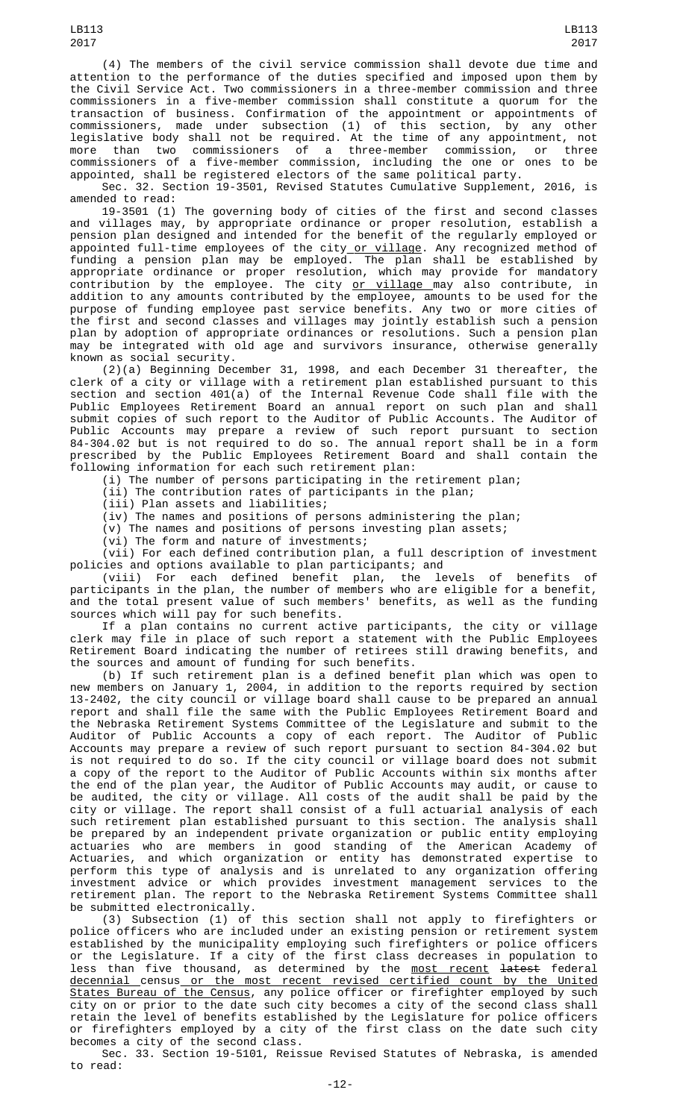(4) The members of the civil service commission shall devote due time and attention to the performance of the duties specified and imposed upon them by the Civil Service Act. Two commissioners in a three-member commission and three commissioners in a five-member commission shall constitute a quorum for the transaction of business. Confirmation of the appointment or appointments of commissioners, made under subsection (1) of this section, by any other legislative body shall not be required. At the time of any appointment, not more than two commissioners of a three-member commission, or three commissioners of a five-member commission, including the one or ones to be appointed, shall be registered electors of the same political party.

Sec. 32. Section 19-3501, Revised Statutes Cumulative Supplement, 2016, is amended to read:

19-3501 (1) The governing body of cities of the first and second classes and villages may, by appropriate ordinance or proper resolution, establish a pension plan designed and intended for the benefit of the regularly employed or appointed full-time employees of the city<u> or village</u>. Any recognized method of funding a pension plan may be employed. The plan shall be established by appropriate ordinance or proper resolution, which may provide for mandatory contribution by the employee. The city <u>or village </u>may also contribute, in addition to any amounts contributed by the employee, amounts to be used for the purpose of funding employee past service benefits. Any two or more cities of the first and second classes and villages may jointly establish such a pension plan by adoption of appropriate ordinances or resolutions. Such a pension plan may be integrated with old age and survivors insurance, otherwise generally known as social security.

(2)(a) Beginning December 31, 1998, and each December 31 thereafter, the clerk of a city or village with a retirement plan established pursuant to this section and section 401(a) of the Internal Revenue Code shall file with the Public Employees Retirement Board an annual report on such plan and shall submit copies of such report to the Auditor of Public Accounts. The Auditor of Public Accounts may prepare a review of such report pursuant to section 84-304.02 but is not required to do so. The annual report shall be in a form prescribed by the Public Employees Retirement Board and shall contain the following information for each such retirement plan:

(i) The number of persons participating in the retirement plan;

(ii) The contribution rates of participants in the plan;

(iii) Plan assets and liabilities;

(iv) The names and positions of persons administering the plan;

(v) The names and positions of persons investing plan assets;

(vi) The form and nature of investments;

(vii) For each defined contribution plan, a full description of investment policies and options available to plan participants; and

(viii) For each defined benefit plan, the levels of benefits of participants in the plan, the number of members who are eligible for a benefit, and the total present value of such members' benefits, as well as the funding sources which will pay for such benefits.

If a plan contains no current active participants, the city or village clerk may file in place of such report a statement with the Public Employees Retirement Board indicating the number of retirees still drawing benefits, and the sources and amount of funding for such benefits.

(b) If such retirement plan is a defined benefit plan which was open to new members on January 1, 2004, in addition to the reports required by section 13-2402, the city council or village board shall cause to be prepared an annual report and shall file the same with the Public Employees Retirement Board and the Nebraska Retirement Systems Committee of the Legislature and submit to the Auditor of Public Accounts a copy of each report. The Auditor of Public Accounts may prepare a review of such report pursuant to section 84-304.02 but is not required to do so. If the city council or village board does not submit a copy of the report to the Auditor of Public Accounts within six months after the end of the plan year, the Auditor of Public Accounts may audit, or cause to be audited, the city or village. All costs of the audit shall be paid by the city or village. The report shall consist of a full actuarial analysis of each such retirement plan established pursuant to this section. The analysis shall be prepared by an independent private organization or public entity employing actuaries who are members in good standing of the American Academy of Actuaries, and which organization or entity has demonstrated expertise to perform this type of analysis and is unrelated to any organization offering investment advice or which provides investment management services to the retirement plan. The report to the Nebraska Retirement Systems Committee shall be submitted electronically.

(3) Subsection (1) of this section shall not apply to firefighters or police officers who are included under an existing pension or retirement system established by the municipality employing such firefighters or police officers or the Legislature. If a city of the first class decreases in population to less than five thousand, as determined by the <u>most recent</u> <del>latest</del> federal decennial census or the most recent revised certified count by the United States Bureau of the Census, any police officer or firefighter employed by such city on or prior to the date such city becomes a city of the second class shall retain the level of benefits established by the Legislature for police officers or firefighters employed by a city of the first class on the date such city becomes a city of the second class.

Sec. 33. Section 19-5101, Reissue Revised Statutes of Nebraska, is amended to read: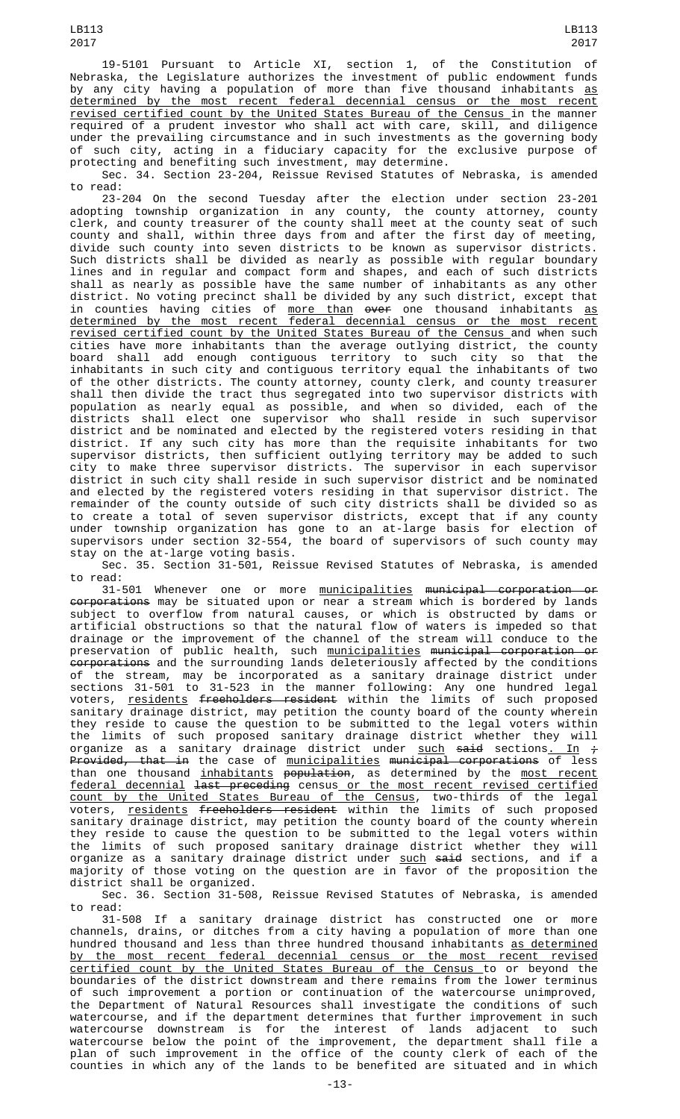of such city, acting in a fiduciary capacity for the exclusive purpose of protecting and benefiting such investment, may determine. Sec. 34. Section 23-204, Reissue Revised Statutes of Nebraska, is amended

to read: 23-204 On the second Tuesday after the election under section 23-201 adopting township organization in any county, the county attorney, county clerk, and county treasurer of the county shall meet at the county seat of such county and shall, within three days from and after the first day of meeting, divide such county into seven districts to be known as supervisor districts. Such districts shall be divided as nearly as possible with regular boundary lines and in regular and compact form and shapes, and each of such districts shall as nearly as possible have the same number of inhabitants as any other district. No voting precinct shall be divided by any such district, except that in counties having cities of <u>more than</u> <del>over</del> one thousand inhabitants <u>as</u> determined by the most recent federal decennial census or the most recent revised certified count by the United States Bureau of the Census and when such cities have more inhabitants than the average outlying district, the county shall add enough contiguous territory to such city so that inhabitants in such city and contiguous territory equal the inhabitants of two of the other districts. The county attorney, county clerk, and county treasurer shall then divide the tract thus segregated into two supervisor districts with population as nearly equal as possible, and when so divided, each of the districts shall elect one supervisor who shall reside in such supervisor district and be nominated and elected by the registered voters residing in that district. If any such city has more than the requisite inhabitants for two supervisor districts, then sufficient outlying territory may be added to such city to make three supervisor districts. The supervisor in each supervisor district in such city shall reside in such supervisor district and be nominated and elected by the registered voters residing in that supervisor district. The remainder of the county outside of such city districts shall be divided so as to create a total of seven supervisor districts, except that if any county under township organization has gone to an at-large basis for election of supervisors under section 32-554, the board of supervisors of such county may stay on the at-large voting basis.

Sec. 35. Section 31-501, Reissue Revised Statutes of Nebraska, is amended to read:

31-501 Whenever one or more <u>municipalities</u> <del>municipal corporation or</del> <del>corporations</del> may be situated upon or near a stream which is bordered by lands subject to overflow from natural causes, or which is obstructed by dams or artificial obstructions so that the natural flow of waters is impeded so that drainage or the improvement of the channel of the stream will conduce to the preservation of public health, such <u>municipalities</u> <del>municipal corporation or</del> <del>corporations</del> and the surrounding lands deleteriously affected by the conditions of the stream, may be incorporated as a sanitary drainage district under sections 31-501 to 31-523 in the manner following: Any one hundred legal voters, <u>residents</u> <del>freeholders resident</del> within the limits of such proposed sanitary drainage district, may petition the county board of the county wherein they reside to cause the question to be submitted to the legal voters within the limits of such proposed sanitary drainage district whether they will organize as a sanitary drainage district under <u>such</u> <del>said</del> sections<u>. In</u> <del>;</del> Provided, that in the case of <u>municipalities</u> <del>municipal corporations</del> of less than one thousand <u>inhabitants</u> <del>population</del>, as determined by the <u>most recent</u> federal decennial last preceding census or the most recent revised certified count by the United States Bureau of the Census, two-thirds of the legal voters, <u>residents</u> <del>freeholders resident</del> within the limits of such proposed sanitary drainage district, may petition the county board of the county wherein they reside to cause the question to be submitted to the legal voters within the limits of such proposed sanitary drainage district whether they will organize as a sanitary drainage district under <u>such</u> <del>said</del> sections, and if a majority of those voting on the question are in favor of the proposition the district shall be organized.

Sec. 36. Section 31-508, Reissue Revised Statutes of Nebraska, is amended to read:

31-508 If a sanitary drainage district has constructed one or more channels, drains, or ditches from a city having a population of more than one hundred thousand and less than three hundred thousand inhabitants as determined by the most recent federal decennial census or the most recent revised certified count by the United States Bureau of the Census to or beyond the boundaries of the district downstream and there remains from the lower terminus of such improvement a portion or continuation of the watercourse unimproved, the Department of Natural Resources shall investigate the conditions of such watercourse, and if the department determines that further improvement in such watercourse downstream is for the interest of lands adjacent to such watercourse below the point of the improvement, the department shall file a plan of such improvement in the office of the county clerk of each of the counties in which any of the lands to be benefited are situated and in which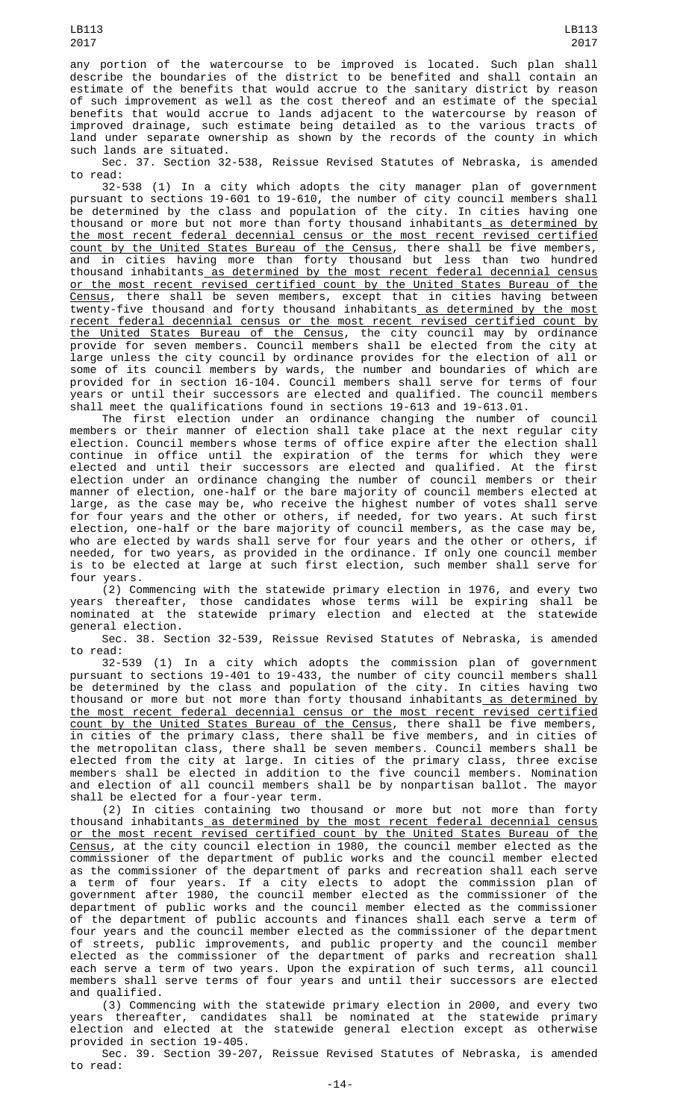any portion of the watercourse to be improved is located. Such plan shall describe the boundaries of the district to be benefited and shall contain an estimate of the benefits that would accrue to the sanitary district by reason of such improvement as well as the cost thereof and an estimate of the special benefits that would accrue to lands adjacent to the watercourse by reason of improved drainage, such estimate being detailed as to the various tracts of land under separate ownership as shown by the records of the county in which such lands are situated.

Sec. 37. Section 32-538, Reissue Revised Statutes of Nebraska, is amended to read:

32-538 (1) In a city which adopts the city manager plan of government pursuant to sections 19-601 to 19-610, the number of city council members shall be determined by the class and population of the city. In cities having one thousand or more but not more than forty thousand inhabitants<u> as determined by</u> the most recent federal decennial census or the most recent revised certified count by the United States Bureau of the Census, there shall be five members, and in cities having more than forty thousand but less than two hundred thousand inhabitants as determined by the most recent federal decennial census or the most recent revised certified count by the United States Bureau of the <u>Census</u>, there shall be seven members, except that in cities having between twenty-five thousand and forty thousand inhabitants<u> as determined by the most</u> recent federal decennial census or the most recent revised certified count by the United States Bureau of the Census, the city council may by ordinance provide for seven members. Council members shall be elected from the city at large unless the city council by ordinance provides for the election of all or some of its council members by wards, the number and boundaries of which are provided for in section 16-104. Council members shall serve for terms of four years or until their successors are elected and qualified. The council members shall meet the qualifications found in sections 19-613 and 19-613.01.

The first election under an ordinance changing the number of council members or their manner of election shall take place at the next regular city election. Council members whose terms of office expire after the election shall continue in office until the expiration of the terms for which they were elected and until their successors are elected and qualified. At the first election under an ordinance changing the number of council members or their manner of election, one-half or the bare majority of council members elected at large, as the case may be, who receive the highest number of votes shall serve for four years and the other or others, if needed, for two years. At such first election, one-half or the bare majority of council members, as the case may be, who are elected by wards shall serve for four years and the other or others, if needed, for two years, as provided in the ordinance. If only one council member is to be elected at large at such first election, such member shall serve for four years.

(2) Commencing with the statewide primary election in 1976, and every two years thereafter, those candidates whose terms will be expiring shall be nominated at the statewide primary election and elected at the statewide general election.

Sec. 38. Section 32-539, Reissue Revised Statutes of Nebraska, is amended to read:

32-539 (1) In a city which adopts the commission plan of government pursuant to sections 19-401 to 19-433, the number of city council members shall be determined by the class and population of the city. In cities having two thousand or more but not more than forty thousand inhabitants as determined by the most recent federal decennial census or the most recent revised certified count by the United States Bureau of the Census, there shall be five members, in cities of the primary class, there shall be five members, and in cities of the metropolitan class, there shall be seven members. Council members shall be elected from the city at large. In cities of the primary class, three excise members shall be elected in addition to the five council members. Nomination and election of all council members shall be by nonpartisan ballot. The mayor shall be elected for a four-year term.

(2) In cities containing two thousand or more but not more than forty thousand inhabitants as determined by the most recent federal decennial census or the most recent revised certified count by the United States Bureau of the <u>Census</u>, at the city council election in 1980, the council member elected as the commissioner of the department of public works and the council member elected as the commissioner of the department of parks and recreation shall each serve a term of four years. If a city elects to adopt the commission plan of government after 1980, the council member elected as the commissioner of the department of public works and the council member elected as the commissioner of the department of public accounts and finances shall each serve a term of four years and the council member elected as the commissioner of the department of streets, public improvements, and public property and the council member elected as the commissioner of the department of parks and recreation shall each serve a term of two years. Upon the expiration of such terms, all council members shall serve terms of four years and until their successors are elected and qualified.

(3) Commencing with the statewide primary election in 2000, and every two years thereafter, candidates shall be nominated at the statewide primary election and elected at the statewide general election except as otherwise provided in section 19-405.

Sec. 39. Section 39-207, Reissue Revised Statutes of Nebraska, is amended to read: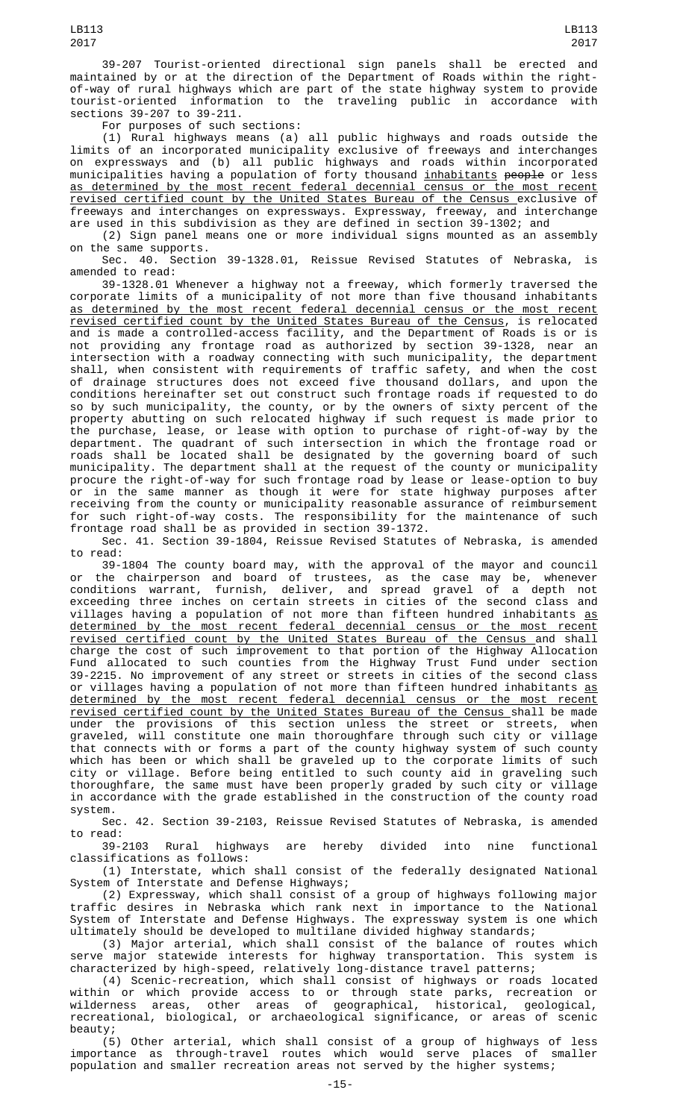39-207 Tourist-oriented directional sign panels shall be erected and maintained by or at the direction of the Department of Roads within the rightof-way of rural highways which are part of the state highway system to provide tourist-oriented information to the traveling public in accordance with sections 39-207 to 39-211.

For purposes of such sections:

(1) Rural highways means (a) all public highways and roads outside the limits of an incorporated municipality exclusive of freeways and interchanges on expressways and (b) all public highways and roads within incorporated municipalities having a population of forty thousand <u>inhabitants</u> <del>people</del> or less as determined by the most recent federal decennial census or the most recent revised certified count by the United States Bureau of the Census exclusive of freeways and interchanges on expressways. Expressway, freeway, and interchange are used in this subdivision as they are defined in section 39-1302; and

(2) Sign panel means one or more individual signs mounted as an assembly on the same supports.

Sec. 40. Section 39-1328.01, Reissue Revised Statutes of Nebraska, is amended to read:

39-1328.01 Whenever a highway not a freeway, which formerly traversed the corporate limits of a municipality of not more than five thousand inhabitants as determined by the most recent federal decennial census or the most recent revised certified count by the United States Bureau of the Census, is relocated and is made a controlled-access facility, and the Department of Roads is or is not providing any frontage road as authorized by section 39-1328, near an intersection with a roadway connecting with such municipality, the department shall, when consistent with requirements of traffic safety, and when the cost of drainage structures does not exceed five thousand dollars, and upon the conditions hereinafter set out construct such frontage roads if requested to do so by such municipality, the county, or by the owners of sixty percent of the property abutting on such relocated highway if such request is made prior to the purchase, lease, or lease with option to purchase of right-of-way by the department. The quadrant of such intersection in which the frontage road or roads shall be located shall be designated by the governing board of such municipality. The department shall at the request of the county or municipality procure the right-of-way for such frontage road by lease or lease-option to buy or in the same manner as though it were for state highway purposes after receiving from the county or municipality reasonable assurance of reimbursement for such right-of-way costs. The responsibility for the maintenance of such frontage road shall be as provided in section 39-1372.

Sec. 41. Section 39-1804, Reissue Revised Statutes of Nebraska, is amended to read:

39-1804 The county board may, with the approval of the mayor and council or the chairperson and board of trustees, as the case may be, whenever conditions warrant, furnish, deliver, and spread gravel of a depth not exceeding three inches on certain streets in cities of the second class and villages having a population of not more than fifteen hundred inhabitants as determined by the most recent federal decennial census or the most recent revised certified count by the United States Bureau of the Census and shall charge the cost of such improvement to that portion of the Highway Allocation Fund allocated to such counties from the Highway Trust Fund under section 39-2215. No improvement of any street or streets in cities of the second class or villages having a population of not more than fifteen hundred inhabitants <u>as</u> determined by the most recent federal decennial census or the most recent revised certified count by the United States Bureau of the Census shall be made under the provisions of this section unless the street or streets, when graveled, will constitute one main thoroughfare through such city or village that connects with or forms a part of the county highway system of such county which has been or which shall be graveled up to the corporate limits of such city or village. Before being entitled to such county aid in graveling such thoroughfare, the same must have been properly graded by such city or village in accordance with the grade established in the construction of the county road system.

Sec. 42. Section 39-2103, Reissue Revised Statutes of Nebraska, is amended

to read:<br>39-2103 Rural highways are hereby divided into nine functional classifications as follows:

(1) Interstate, which shall consist of the federally designated National System of Interstate and Defense Highways;

(2) Expressway, which shall consist of a group of highways following major traffic desires in Nebraska which rank next in importance to the National System of Interstate and Defense Highways. The expressway system is one which ultimately should be developed to multilane divided highway standards;

(3) Major arterial, which shall consist of the balance of routes which serve major statewide interests for highway transportation. This system is characterized by high-speed, relatively long-distance travel patterns;

(4) Scenic-recreation, which shall consist of highways or roads located within or which provide access to or through state parks, recreation or wilderness areas, other areas of geographical, historical, geological, recreational, biological, or archaeological significance, or areas of scenic beauty;

(5) Other arterial, which shall consist of a group of highways of less importance as through-travel routes which would serve places of smaller population and smaller recreation areas not served by the higher systems;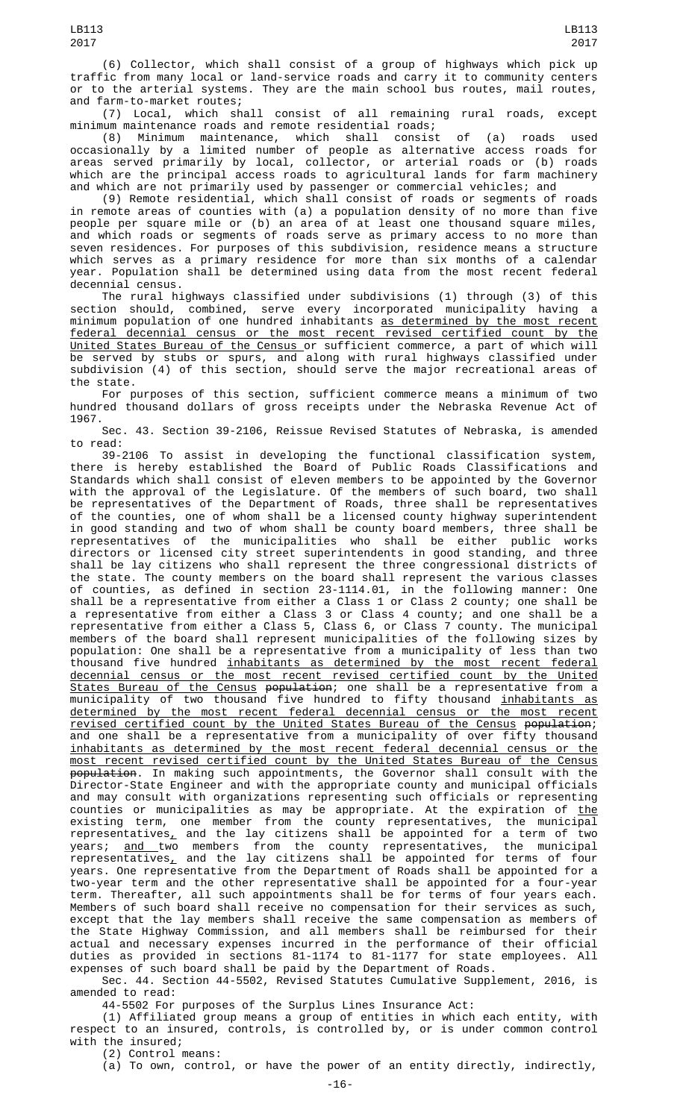and farm-to-market routes; (7) Local, which shall consist of all remaining rural roads, except minimum maintenance roads and remote residential roads;

(8) Minimum maintenance, which shall consist of (a) roads used occasionally by a limited number of people as alternative access roads for areas served primarily by local, collector, or arterial roads or (b) roads which are the principal access roads to agricultural lands for farm machinery and which are not primarily used by passenger or commercial vehicles; and

(9) Remote residential, which shall consist of roads or segments of roads in remote areas of counties with (a) a population density of no more than five people per square mile or (b) an area of at least one thousand square miles, and which roads or segments of roads serve as primary access to no more than seven residences. For purposes of this subdivision, residence means a structure which serves as a primary residence for more than six months of a calendar year. Population shall be determined using data from the most recent federal decennial census.

The rural highways classified under subdivisions (1) through (3) of this section should, combined, serve every incorporated municipality having a minimum population of one hundred inhabitants as determined by the most recent federal decennial census or the most recent revised certified count by the United States Bureau of the Census or sufficient commerce, a part of which will be served by stubs or spurs, and along with rural highways classified under subdivision (4) of this section, should serve the major recreational areas of the state.

For purposes of this section, sufficient commerce means a minimum of two hundred thousand dollars of gross receipts under the Nebraska Revenue Act of 1967.

Sec. 43. Section 39-2106, Reissue Revised Statutes of Nebraska, is amended to read:

39-2106 To assist in developing the functional classification system, there is hereby established the Board of Public Roads Classifications and Standards which shall consist of eleven members to be appointed by the Governor with the approval of the Legislature. Of the members of such board, two shall be representatives of the Department of Roads, three shall be representatives of the counties, one of whom shall be a licensed county highway superintendent in good standing and two of whom shall be county board members, three shall be representatives of the municipalities who shall be either public works directors or licensed city street superintendents in good standing, and three shall be lay citizens who shall represent the three congressional districts of the state. The county members on the board shall represent the various classes of counties, as defined in section 23-1114.01, in the following manner: One shall be a representative from either a Class 1 or Class 2 county; one shall be a representative from either a Class 3 or Class 4 county; and one shall be a representative from either a Class 5, Class 6, or Class 7 county. The municipal members of the board shall represent municipalities of the following sizes by population: One shall be a representative from a municipality of less than two thousand five hundred <u>inhabitants as determined by the most recent federal</u> decennial census or the most recent revised certified count by the United States Bureau of the Census population; one shall be a representative from a municipality of two thousand five hundred to fifty thousand <u>inhabitants as</u> determined by the most recent federal decennial census or the most recent revised certified count by the United States Bureau of the Census population; and one shall be a representative from a municipality of over fifty thousand inhabitants as determined by the most recent federal decennial census or the most recent revised certified count by the United States Bureau of the Census <del>population</del>. In making such appointments, the Governor shall consult with the Director-State Engineer and with the appropriate county and municipal officials and may consult with organizations representing such officials or representing counties or municipalities as may be appropriate. At the expiration of <u>the</u> existing term, one member from the county representatives, the municipal <code>representatives $\_$ </code> and the lay citizens shall be appointed for a term of two years; <u>and t</u>wo members from the county representatives, the municipal <code>representatives $_{\rm \scriptscriptstyle L}$  and the lay citizens shall be appointed for terms of four</code> years. One representative from the Department of Roads shall be appointed for a two-year term and the other representative shall be appointed for a four-year term. Thereafter, all such appointments shall be for terms of four years each. Members of such board shall receive no compensation for their services as such, except that the lay members shall receive the same compensation as members of the State Highway Commission, and all members shall be reimbursed for their actual and necessary expenses incurred in the performance of their official duties as provided in sections 81-1174 to 81-1177 for state employees. All expenses of such board shall be paid by the Department of Roads.

Sec. 44. Section 44-5502, Revised Statutes Cumulative Supplement, 2016, is amended to read:

44-5502 For purposes of the Surplus Lines Insurance Act:

(1) Affiliated group means a group of entities in which each entity, with respect to an insured, controls, is controlled by, or is under common control with the insured;

(2) Control means:

(a) To own, control, or have the power of an entity directly, indirectly,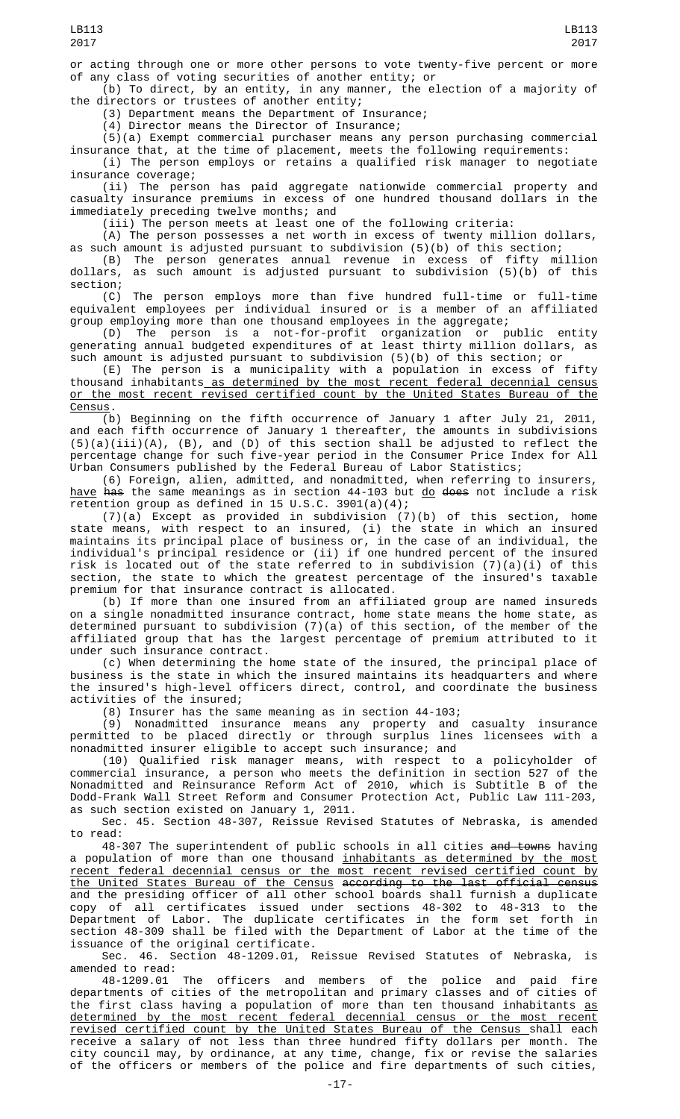or acting through one or more other persons to vote twenty-five percent or more of any class of voting securities of another entity; or

(b) To direct, by an entity, in any manner, the election of a majority of the directors or trustees of another entity;

(3) Department means the Department of Insurance;

(4) Director means the Director of Insurance;

(5)(a) Exempt commercial purchaser means any person purchasing commercial insurance that, at the time of placement, meets the following requirements:

(i) The person employs or retains a qualified risk manager to negotiate insurance coverage;

(ii) The person has paid aggregate nationwide commercial property and casualty insurance premiums in excess of one hundred thousand dollars in the immediately preceding twelve months; and

(iii) The person meets at least one of the following criteria:

 $(A)$  The person possesses a net worth in excess of twenty million dollars, as such amount is adjusted pursuant to subdivision (5)(b) of this section; (B) The person generates annual revenue in excess of fifty million

dollars, as such amount is adjusted pursuant to subdivision (5)(b) of this section;

(C) The person employs more than five hundred full-time or full-time equivalent employees per individual insured or is a member of an affiliated group employing more than one thousand employees in the aggregate;

(D) The person is a not-for-profit organization or public entity generating annual budgeted expenditures of at least thirty million dollars, as such amount is adjusted pursuant to subdivision (5)(b) of this section; or

(E) The person is a municipality with a population in excess of fifty thousand inhabitants as determined by the most recent federal decennial census or the most recent revised certified count by the United States Bureau of the <u>Census</u>.

(b) Beginning on the fifth occurrence of January 1 after July 21, 2011, and each fifth occurrence of January 1 thereafter, the amounts in subdivisions (5)(a)(iii)(A), (B), and (D) of this section shall be adjusted to reflect the percentage change for such five-year period in the Consumer Price Index for All Urban Consumers published by the Federal Bureau of Labor Statistics;

(6) Foreign, alien, admitted, and nonadmitted, when referring to insurers, <u>have</u> <del>has</del> the same meanings as in section 44-103 but <u>do</u> <del>does</del> not include a risk retention group as defined in 15 U.S.C. 3901(a)(4);

(7)(a) Except as provided in subdivision (7)(b) of this section, home state means, with respect to an insured, (i) the state in which an insured maintains its principal place of business or, in the case of an individual, the individual's principal residence or (ii) if one hundred percent of the insured risk is located out of the state referred to in subdivision (7)(a)(i) of this section, the state to which the greatest percentage of the insured's taxable premium for that insurance contract is allocated.

(b) If more than one insured from an affiliated group are named insureds on a single nonadmitted insurance contract, home state means the home state, as determined pursuant to subdivision (7)(a) of this section, of the member of the affiliated group that has the largest percentage of premium attributed to it under such insurance contract.

(c) When determining the home state of the insured, the principal place of business is the state in which the insured maintains its headquarters and where the insured's high-level officers direct, control, and coordinate the business activities of the insured;

(8) Insurer has the same meaning as in section 44-103;

(9) Nonadmitted insurance means any property and casualty insurance permitted to be placed directly or through surplus lines licensees with a nonadmitted insurer eligible to accept such insurance; and

(10) Qualified risk manager means, with respect to a policyholder of commercial insurance, a person who meets the definition in section 527 of the Nonadmitted and Reinsurance Reform Act of 2010, which is Subtitle B of the Dodd-Frank Wall Street Reform and Consumer Protection Act, Public Law 111-203, as such section existed on January 1, 2011.

Sec. 45. Section 48-307, Reissue Revised Statutes of Nebraska, is amended to read:

48-307 The superintendent of public schools in all cities and towns having a population of more than one thousand <u>inhabitants as determined by the most</u> recent federal decennial census or the most recent revised certified count by the United States Bureau of the Census according to the last official census and the presiding officer of all other school boards shall furnish a duplicate copy of all certificates issued under sections 48-302 to 48-313 to the Department of Labor. The duplicate certificates in the form set forth in section 48-309 shall be filed with the Department of Labor at the time of the issuance of the original certificate.

Sec. 46. Section 48-1209.01, Reissue Revised Statutes of Nebraska, is amended to read:

The officers and members of the police and paid fire departments of cities of the metropolitan and primary classes and of cities of the first class having a population of more than ten thousand inhabitants <u>as</u> determined by the most recent federal decennial census or the most recent revised certified count by the United States Bureau of the Census shall each receive a salary of not less than three hundred fifty dollars per month. The city council may, by ordinance, at any time, change, fix or revise the salaries of the officers or members of the police and fire departments of such cities,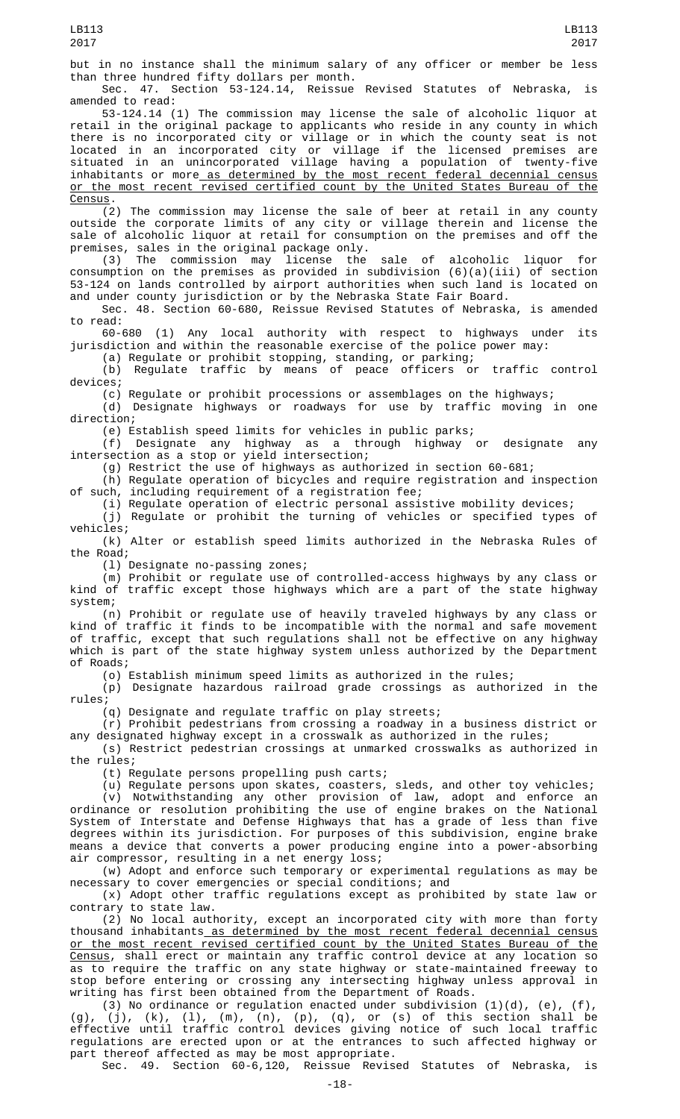but in no instance shall the minimum salary of any officer or member be less than three hundred fifty dollars per month.

Sec. 47. Section 53-124.14, Reissue Revised Statutes of Nebraska, is amended to read:

53-124.14 (1) The commission may license the sale of alcoholic liquor at retail in the original package to applicants who reside in any county in which there is no incorporated city or village or in which the county seat is not located in an incorporated city or village if the licensed premises are situated in an unincorporated village having a population of twenty-five inhabitants or more as determined by the most recent federal decennial census or the most recent revised certified count by the United States Bureau of the Census.

(2) The commission may license the sale of beer at retail in any county outside the corporate limits of any city or village therein and license the sale of alcoholic liquor at retail for consumption on the premises and off the premises, sales in the original package only.

(3) The commission may license the sale of alcoholic liquor for consumption on the premises as provided in subdivision (6)(a)(iii) of section 53-124 on lands controlled by airport authorities when such land is located on and under county jurisdiction or by the Nebraska State Fair Board.

Sec. 48. Section 60-680, Reissue Revised Statutes of Nebraska, is amended to read:

60-680 (1) Any local authority with respect to highways under its jurisdiction and within the reasonable exercise of the police power may:

(a) Regulate or prohibit stopping, standing, or parking; (b) Regulate traffic by means of peace officers or traffic control devices;

(c) Regulate or prohibit processions or assemblages on the highways;

(d) Designate highways or roadways for use by traffic moving in one direction;

(e) Establish speed limits for vehicles in public parks;

(f) Designate any highway as a through highway or designate any intersection as a stop or yield intersection;

(g) Restrict the use of highways as authorized in section 60-681;

(h) Regulate operation of bicycles and require registration and inspection of such, including requirement of a registration fee;

(i) Regulate operation of electric personal assistive mobility devices;

(j) Regulate or prohibit the turning of vehicles or specified types of vehicles;

(k) Alter or establish speed limits authorized in the Nebraska Rules of the Road;

(l) Designate no-passing zones;

(m) Prohibit or regulate use of controlled-access highways by any class or kind of traffic except those highways which are a part of the state highway system;

(n) Prohibit or regulate use of heavily traveled highways by any class or kind of traffic it finds to be incompatible with the normal and safe movement of traffic, except that such regulations shall not be effective on any highway which is part of the state highway system unless authorized by the Department of Roads;

(o) Establish minimum speed limits as authorized in the rules;

(p) Designate hazardous railroad grade crossings as authorized in the rules;

(q) Designate and regulate traffic on play streets;

(r) Prohibit pedestrians from crossing a roadway in a business district or any designated highway except in a crosswalk as authorized in the rules;

(s) Restrict pedestrian crossings at unmarked crosswalks as authorized in the rules;

(t) Regulate persons propelling push carts;

(u) Regulate persons upon skates, coasters, sleds, and other toy vehicles; (v) Notwithstanding any other provision of law, adopt and enforce an ordinance or resolution prohibiting the use of engine brakes on the National System of Interstate and Defense Highways that has a grade of less than five degrees within its jurisdiction. For purposes of this subdivision, engine brake means a device that converts a power producing engine into a power-absorbing air compressor, resulting in a net energy loss;

(w) Adopt and enforce such temporary or experimental regulations as may be necessary to cover emergencies or special conditions; and

(x) Adopt other traffic regulations except as prohibited by state law or contrary to state law.

(2) No local authority, except an incorporated city with more than forty thousand inhabitants as determined by the most recent federal decennial census or the most recent revised certified count by the United States Bureau of the <u>Census</u>, shall erect or maintain any traffic control device at any location so as to require the traffic on any state highway or state-maintained freeway to stop before entering or crossing any intersecting highway unless approval in writing has first been obtained from the Department of Roads.

(3) No ordinance or regulation enacted under subdivision  $(1)(d)$ ,  $(e)$ ,  $(f)$ , (g), (j), (k), (l), (m), (n), (p), (q), or (s) of this section shall be effective until traffic control devices giving notice of such local traffic regulations are erected upon or at the entrances to such affected highway or part thereof affected as may be most appropriate.

Sec. 49. Section 60-6,120, Reissue Revised Statutes of Nebraska, is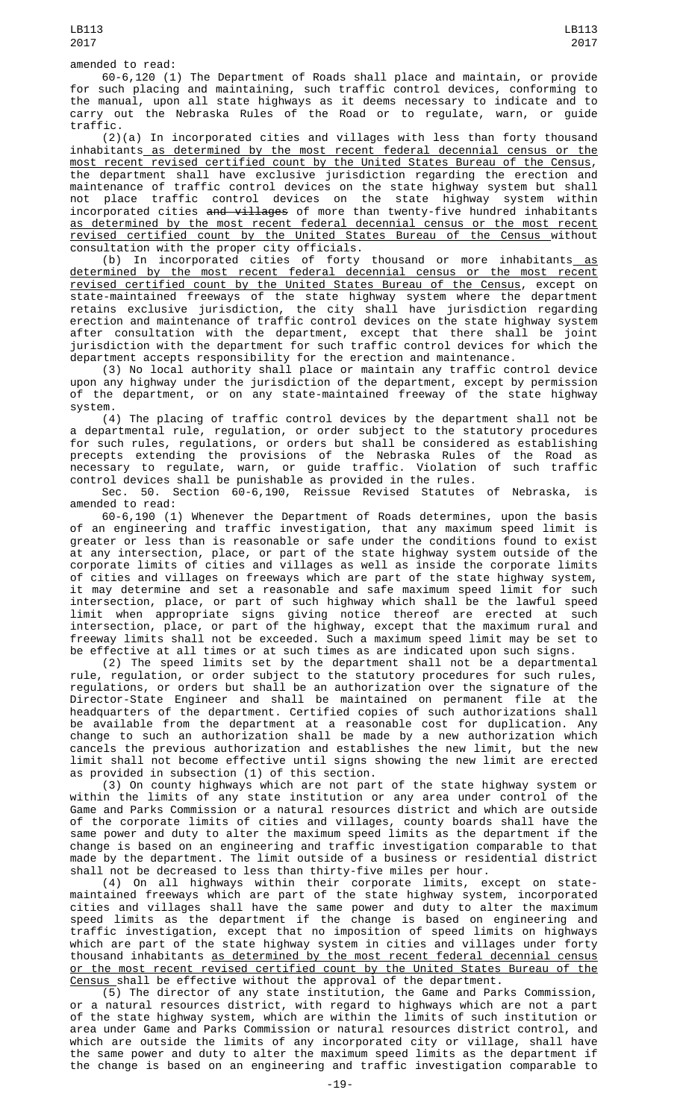60-6,120 (1) The Department of Roads shall place and maintain, or provide for such placing and maintaining, such traffic control devices, conforming to the manual, upon all state highways as it deems necessary to indicate and to carry out the Nebraska Rules of the Road or to regulate, warn, or guide traffic.

(2)(a) In incorporated cities and villages with less than forty thousand inhabitants as determined by the most recent federal decennial census or the most recent revised certified count by the United States Bureau of the Census, the department shall have exclusive jurisdiction regarding the erection and maintenance of traffic control devices on the state highway system but shall not place traffic control devices on the state highway system within incorporated cities and villages of more than twenty-five hundred inhabitants as determined by the most recent federal decennial census or the most recent revised certified count by the United States Bureau of the Census without consultation with the proper city officials.

(b) In incorporated cities of forty thousand or more inhabitants as determined by the most recent federal decennial census or the most recent revised certified count by the United States Bureau of the Census, except on state-maintained freeways of the state highway system where the department retains exclusive jurisdiction, the city shall have jurisdiction regarding erection and maintenance of traffic control devices on the state highway system after consultation with the department, except that there shall be joint jurisdiction with the department for such traffic control devices for which the department accepts responsibility for the erection and maintenance.

(3) No local authority shall place or maintain any traffic control device upon any highway under the jurisdiction of the department, except by permission of the department, or on any state-maintained freeway of the state highway system.

(4) The placing of traffic control devices by the department shall not be a departmental rule, regulation, or order subject to the statutory procedures for such rules, regulations, or orders but shall be considered as establishing precepts extending the provisions of the Nebraska Rules of the Road as necessary to regulate, warn, or guide traffic. Violation of such traffic control devices shall be punishable as provided in the rules.

Sec. 50. Section 60-6,190, Reissue Revised Statutes of Nebraska, is amended to read:

60-6,190 (1) Whenever the Department of Roads determines, upon the basis of an engineering and traffic investigation, that any maximum speed limit is greater or less than is reasonable or safe under the conditions found to exist at any intersection, place, or part of the state highway system outside of the corporate limits of cities and villages as well as inside the corporate limits of cities and villages on freeways which are part of the state highway system, it may determine and set a reasonable and safe maximum speed limit for such intersection, place, or part of such highway which shall be the lawful speed limit when appropriate signs giving notice thereof are erected at such intersection, place, or part of the highway, except that the maximum rural and freeway limits shall not be exceeded. Such a maximum speed limit may be set to be effective at all times or at such times as are indicated upon such signs.

(2) The speed limits set by the department shall not be a departmental rule, regulation, or order subject to the statutory procedures for such rules, regulations, or orders but shall be an authorization over the signature of the Director-State Engineer and shall be maintained on permanent file at the headquarters of the department. Certified copies of such authorizations shall be available from the department at a reasonable cost for duplication. Any change to such an authorization shall be made by a new authorization which cancels the previous authorization and establishes the new limit, but the new limit shall not become effective until signs showing the new limit are erected as provided in subsection (1) of this section.

(3) On county highways which are not part of the state highway system or within the limits of any state institution or any area under control of the Game and Parks Commission or a natural resources district and which are outside of the corporate limits of cities and villages, county boards shall have the same power and duty to alter the maximum speed limits as the department if the change is based on an engineering and traffic investigation comparable to that made by the department. The limit outside of a business or residential district shall not be decreased to less than thirty-five miles per hour.

(4) On all highways within their corporate limits, except on statemaintained freeways which are part of the state highway system, incorporated cities and villages shall have the same power and duty to alter the maximum speed limits as the department if the change is based on engineering and traffic investigation, except that no imposition of speed limits on highways which are part of the state highway system in cities and villages under forty thousand inhabitants as determined by the most recent federal decennial census or the most recent revised certified count by the United States Bureau of the Census shall be effective without the approval of the department.

(5) The director of any state institution, the Game and Parks Commission, or a natural resources district, with regard to highways which are not a part of the state highway system, which are within the limits of such institution or area under Game and Parks Commission or natural resources district control, and which are outside the limits of any incorporated city or village, shall have the same power and duty to alter the maximum speed limits as the department if the change is based on an engineering and traffic investigation comparable to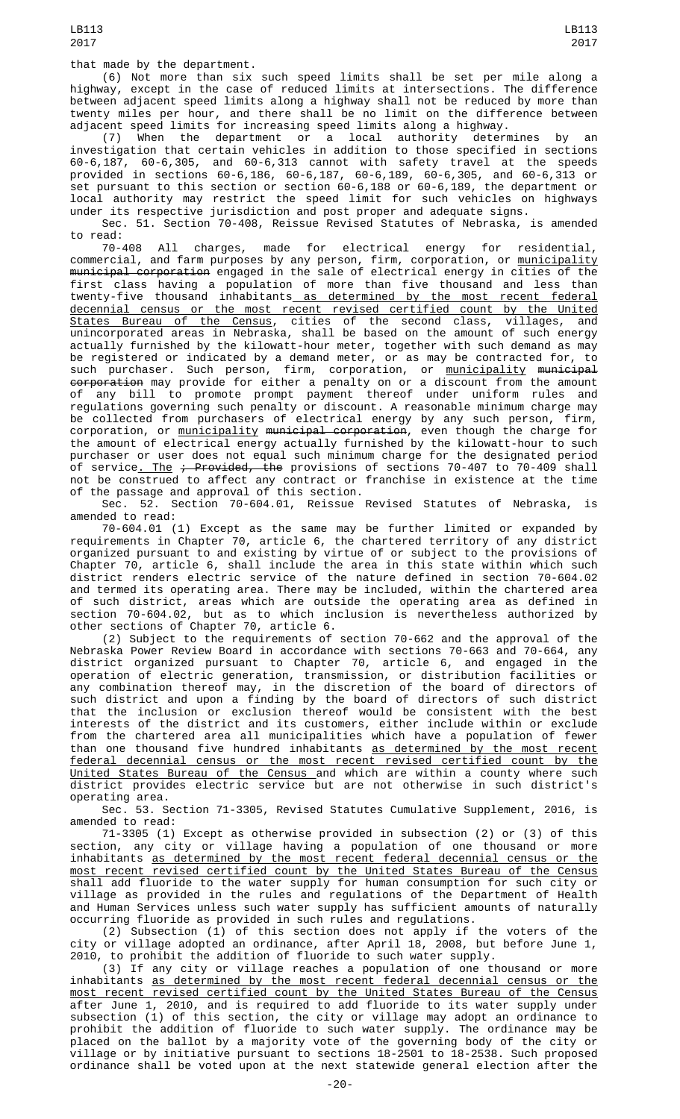that made by the department.

(6) Not more than six such speed limits shall be set per mile along a highway, except in the case of reduced limits at intersections. The difference between adjacent speed limits along a highway shall not be reduced by more than twenty miles per hour, and there shall be no limit on the difference between adjacent speed limits for increasing speed limits along a highway.

(7) When the department or a local authority determines by an investigation that certain vehicles in addition to those specified in sections 60-6,187, 60-6,305, and 60-6,313 cannot with safety travel at the speeds provided in sections 60-6,186, 60-6,187, 60-6,189, 60-6,305, and 60-6,313 or set pursuant to this section or section 60-6,188 or 60-6,189, the department or local authority may restrict the speed limit for such vehicles on highways under its respective jurisdiction and post proper and adequate signs.

Sec. 51. Section 70-408, Reissue Revised Statutes of Nebraska, is amended to read:<br>70-408

70-408 All charges, made for electrical energy for residential, commercial, and farm purposes by any person, firm, corporation, or <u>municipality</u> municipal corporation engaged in the sale of electrical energy in cities of the first class having a population of more than five thousand and less than twenty-five thousand inhabitants<u> as determined by the most recent federal</u> decennial census or the most recent revised certified count by the United States Bureau of the Census, cities of the second class, villages, and unincorporated areas in Nebraska, shall be based on the amount of such energy actually furnished by the kilowatt-hour meter, together with such demand as may be registered or indicated by a demand meter, or as may be contracted for, to such purchaser. Such person, firm, corporation, or <u>municipality</u> <del>municipal</del> <del>corporation</del> may provide for either a penalty on or a discount from the amount of any bill to promote prompt payment thereof under uniform rules and regulations governing such penalty or discount. A reasonable minimum charge may be collected from purchasers of electrical energy by any such person, firm, corporation, or <u>municipality</u> <del>municipal corporation</del>, even though the charge for the amount of electrical energy actually furnished by the kilowatt-hour to such purchaser or user does not equal such minimum charge for the designated period of service<u>. The</u> <del>; Provided, the</del> provisions of sections 70-407 to 70-409 shall not be construed to affect any contract or franchise in existence at the time of the passage and approval of this section.

Sec. 52. Section 70-604.01, Reissue Revised Statutes of Nebraska, is amended to read:

70-604.01 (1) Except as the same may be further limited or expanded by requirements in Chapter 70, article 6, the chartered territory of any district organized pursuant to and existing by virtue of or subject to the provisions of Chapter 70, article 6, shall include the area in this state within which such district renders electric service of the nature defined in section 70-604.02 and termed its operating area. There may be included, within the chartered area of such district, areas which are outside the operating area as defined in section 70-604.02, but as to which inclusion is nevertheless authorized by other sections of Chapter 70, article 6.<br>(2) Subject to the requirements of section 70-662 and the approval of the

(2) Subject to the requirements of section 70-662 and the approval of the Nebraska Power Review Board in accordance with sections 70-663 and 70-664, any district organized pursuant to Chapter 70, article 6, and engaged in the operation of electric generation, transmission, or distribution facilities or any combination thereof may, in the discretion of the board of directors of such district and upon a finding by the board of directors of such district that the inclusion or exclusion thereof would be consistent with the best interests of the district and its customers, either include within or exclude from the chartered area all municipalities which have a population of fewer than one thousand five hundred inhabitants as determined by the most recent federal decennial census or the most recent revised certified count by the <u>United States Bureau of the Census a</u>nd which are within a county where such district provides electric service but are not otherwise in such district's operating area.

Sec. 53. Section 71-3305, Revised Statutes Cumulative Supplement, 2016, is amended to read:

71-3305 (1) Except as otherwise provided in subsection (2) or (3) of this section, any city or village having a population of one thousand or more inhabitants as determined by the most recent federal decennial census or the most recent revised certified count by the United States Bureau of the Census shall add fluoride to the water supply for human consumption for such city or village as provided in the rules and regulations of the Department of Health and Human Services unless such water supply has sufficient amounts of naturally occurring fluoride as provided in such rules and regulations.

(2) Subsection (1) of this section does not apply if the voters of the city or village adopted an ordinance, after April 18, 2008, but before June 1, 2010, to prohibit the addition of fluoride to such water supply.

(3) If any city or village reaches a population of one thousand or more inhabitants as determined by the most recent federal decennial census or the most recent revised certified count by the United States Bureau of the Census after June 1, 2010, and is required to add fluoride to its water supply under subsection (1) of this section, the city or village may adopt an ordinance to prohibit the addition of fluoride to such water supply. The ordinance may be placed on the ballot by a majority vote of the governing body of the city or village or by initiative pursuant to sections 18-2501 to 18-2538. Such proposed ordinance shall be voted upon at the next statewide general election after the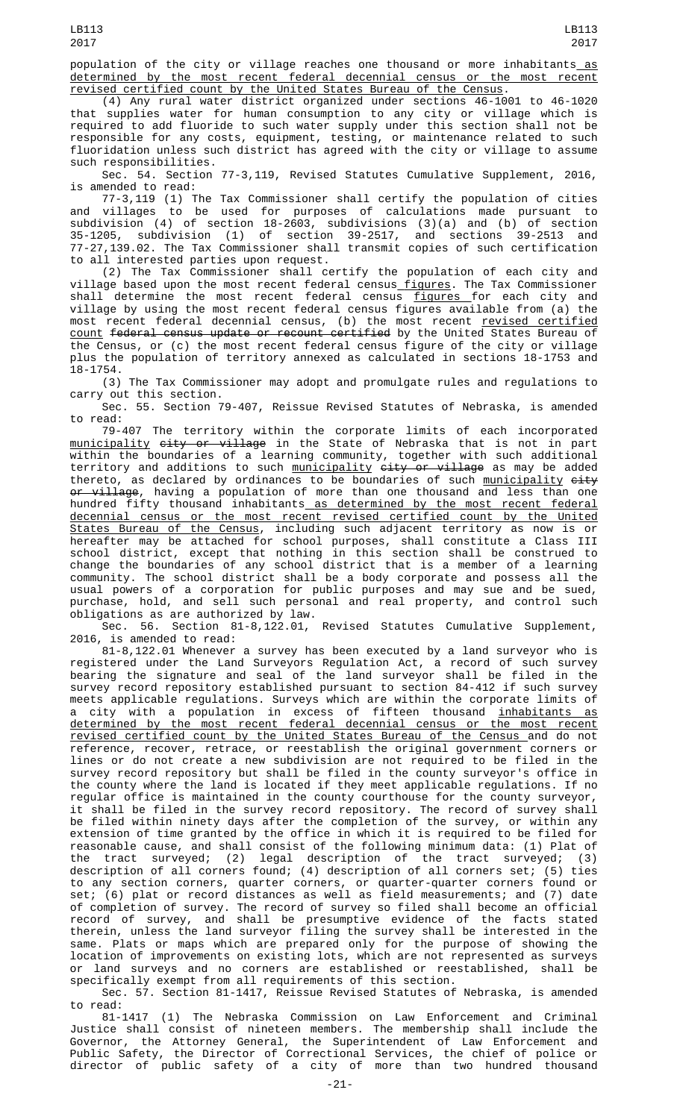population of the city or village reaches one thousand or more inhabitants as determined by the most recent federal decennial census or the most recent revised certified count by the United States Bureau of the Census.

(4) Any rural water district organized under sections 46-1001 to 46-1020 that supplies water for human consumption to any city or village which is required to add fluoride to such water supply under this section shall not be responsible for any costs, equipment, testing, or maintenance related to such fluoridation unless such district has agreed with the city or village to assume such responsibilities.

Sec. 54. Section 77-3,119, Revised Statutes Cumulative Supplement, 2016, is amended to read:

77-3,119 (1) The Tax Commissioner shall certify the population of cities and villages to be used for purposes of calculations made pursuant to subdivision (4) of section 18-2603, subdivisions (3)(a) and (b) of section 35-1205, subdivision (1) of section 39-2517, and sections 39-2513 and 77-27,139.02. The Tax Commissioner shall transmit copies of such certification to all interested parties upon request.

(2) The Tax Commissioner shall certify the population of each city and village based upon the most recent federal census<u>-figures</u>. The Tax Commissioner shall determine the most recent federal census <u>figures </u>for each city and village by using the most recent federal census figures available from (a) the most recent federal decennial census, (b) the most recent <u>revised certified</u> count federal census update or recount certified by the United States Bureau of the Census, or (c) the most recent federal census figure of the city or village plus the population of territory annexed as calculated in sections 18-1753 and 18-1754.

(3) The Tax Commissioner may adopt and promulgate rules and regulations to carry out this section.

Sec. 55. Section 79-407, Reissue Revised Statutes of Nebraska, is amended to read:

79-407 The territory within the corporate limits of each incorporated <u>municipality <del>city or village</del> in the State of Nebraska that is not in part</u> within the boundaries of a learning community, together with such additional territory and additions to such <u>municipality</u> <del>city or village</del> as may be added thereto, as declared by ordinances to be boundaries of such <u>municipality</u> <del>city</del> <del>or village</del>, having a population of more than one thousand and less than one hundred fifty thousand inhabitants as determined by the most recent federal decennial census or the most recent revised certified count by the United States Bureau of the Census, including such adjacent territory as now is or hereafter may be attached for school purposes, shall constitute a Class III school district, except that nothing in this section shall be construed to change the boundaries of any school district that is a member of a learning community. The school district shall be a body corporate and possess all the usual powers of a corporation for public purposes and may sue and be sued, purchase, hold, and sell such personal and real property, and control such obligations as are authorized by law.

Sec. 56. Section 81-8,122.01, Revised Statutes Cumulative Supplement, 2016, is amended to read:

81-8,122.01 Whenever a survey has been executed by a land surveyor who is registered under the Land Surveyors Regulation Act, a record of such survey bearing the signature and seal of the land surveyor shall be filed in the survey record repository established pursuant to section 84-412 if such survey meets applicable regulations. Surveys which are within the corporate limits of a city with a population in excess of fifteen thousand <u>inhabitants as</u> determined by the most recent federal decennial census or the most recent revised certified count by the United States Bureau of the Census and do not reference, recover, retrace, or reestablish the original government corners or lines or do not create a new subdivision are not required to be filed in the survey record repository but shall be filed in the county surveyor's office in the county where the land is located if they meet applicable regulations. If no regular office is maintained in the county courthouse for the county surveyor, it shall be filed in the survey record repository. The record of survey shall be filed within ninety days after the completion of the survey, or within any extension of time granted by the office in which it is required to be filed for reasonable cause, and shall consist of the following minimum data: (1) Plat of the tract surveyed; (2) legal description of the tract surveyed; (3) description of all corners found; (4) description of all corners set; (5) ties to any section corners, quarter corners, or quarter-quarter corners found or set; (6) plat or record distances as well as field measurements; and (7) date of completion of survey. The record of survey so filed shall become an official record of survey, and shall be presumptive evidence of the facts stated therein, unless the land surveyor filing the survey shall be interested in the same. Plats or maps which are prepared only for the purpose of showing the location of improvements on existing lots, which are not represented as surveys or land surveys and no corners are established or reestablished, shall be specifically exempt from all requirements of this section.

Sec. 57. Section 81-1417, Reissue Revised Statutes of Nebraska, is amended to read:

81-1417 (1) The Nebraska Commission on Law Enforcement and Criminal Justice shall consist of nineteen members. The membership shall include the Governor, the Attorney General, the Superintendent of Law Enforcement and Public Safety, the Director of Correctional Services, the chief of police or director of public safety of a city of more than two hundred thousand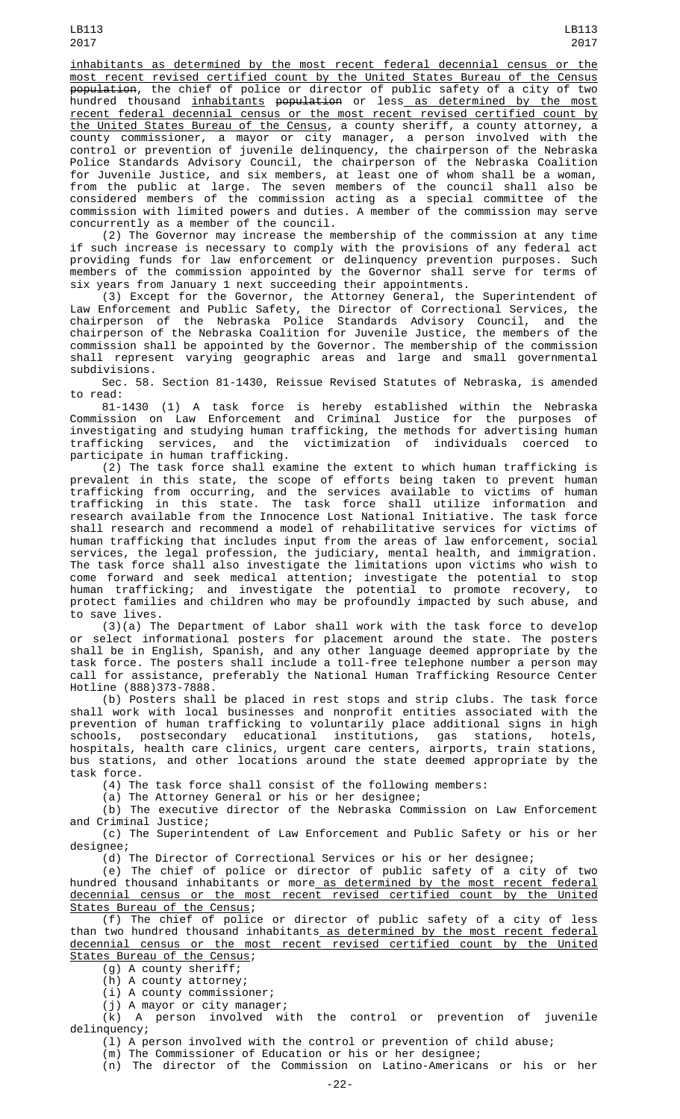inhabitants as determined by the most recent federal decennial census or the most recent revised certified count by the United States Bureau of the Census population, the chief of police or director of public safety of a city of two hundred thousand <u>inhabitants</u> <del>population</del> or less<u> as determined by the most</u> recent federal decennial census or the most recent revised certified count by <u>the United States Bureau of the Census</u>, a county sheriff, a county attorney, a county commissioner, a mayor or city manager, a person involved with the control or prevention of juvenile delinquency, the chairperson of the Nebraska Police Standards Advisory Council, the chairperson of the Nebraska Coalition for Juvenile Justice, and six members, at least one of whom shall be a woman, from the public at large. The seven members of the council shall also be considered members of the commission acting as a special committee of the commission with limited powers and duties. A member of the commission may serve concurrently as a member of the council.

(2) The Governor may increase the membership of the commission at any time if such increase is necessary to comply with the provisions of any federal act providing funds for law enforcement or delinquency prevention purposes. Such members of the commission appointed by the Governor shall serve for terms of six years from January 1 next succeeding their appointments.

(3) Except for the Governor, the Attorney General, the Superintendent of Law Enforcement and Public Safety, the Director of Correctional Services, the chairperson of the Nebraska Police Standards Advisory Council, and the chairperson of the Nebraska Coalition for Juvenile Justice, the members of the commission shall be appointed by the Governor. The membership of the commission shall represent varying geographic areas and large and small governmental subdivisions.

Sec. 58. Section 81-1430, Reissue Revised Statutes of Nebraska, is amended to read:

81-1430 (1) A task force is hereby established within the Nebraska Commission on Law Enforcement and Criminal Justice for the purposes of investigating and studying human trafficking, the methods for advertising human trafficking services, and the victimization of individuals coerced participate in human trafficking.

(2) The task force shall examine the extent to which human trafficking is prevalent in this state, the scope of efforts being taken to prevent human<br>trafficking from occurring, and the services available to victims of human trafficking from occurring, and the services available to victims of human trafficking in this state. The task force shall utilize information and research available from the Innocence Lost National Initiative. The task force shall research and recommend a model of rehabilitative services for victims of human trafficking that includes input from the areas of law enforcement, social services, the legal profession, the judiciary, mental health, and immigration. The task force shall also investigate the limitations upon victims who wish to come forward and seek medical attention; investigate the potential to stop human trafficking; and investigate the potential to promote recovery, to protect families and children who may be profoundly impacted by such abuse, and to save lives.

(3)(a) The Department of Labor shall work with the task force to develop or select informational posters for placement around the state. The posters shall be in English, Spanish, and any other language deemed appropriate by the task force. The posters shall include a toll-free telephone number a person may call for assistance, preferably the National Human Trafficking Resource Center Hotline (888)373-7888.

(b) Posters shall be placed in rest stops and strip clubs. The task force shall work with local businesses and nonprofit entities associated with the prevention of human trafficking to voluntarily place additional signs in high schools, postsecondary educational institutions, gas stations, hotels, hospitals, health care clinics, urgent care centers, airports, train stations, bus stations, and other locations around the state deemed appropriate by the task force.

(4) The task force shall consist of the following members:

(a) The Attorney General or his or her designee;

(b) The executive director of the Nebraska Commission on Law Enforcement and Criminal Justice;

(c) The Superintendent of Law Enforcement and Public Safety or his or her designee;

(d) The Director of Correctional Services or his or her designee;

(e) The chief of police or director of public safety of a city of two hundred thousand inhabitants or more<u> as determined by the most recent federal</u> decennial census or the most recent revised certified count by the United States Bureau of the Census;

(f) The chief of police or director of public safety of a city of less than two hundred thousand inhabitants as determined by the most recent federal decennial census or the most recent revised certified count by the United States Bureau of the Census;

(g) A county sheriff;

(h) A county attorney;

(i) A county commissioner;

(j) A mayor or city manager;

(k) A person involved with the control or prevention of juvenile delinquency;

(l) A person involved with the control or prevention of child abuse;

(m) The Commissioner of Education or his or her designee;

(n) The director of the Commission on Latino-Americans or his or her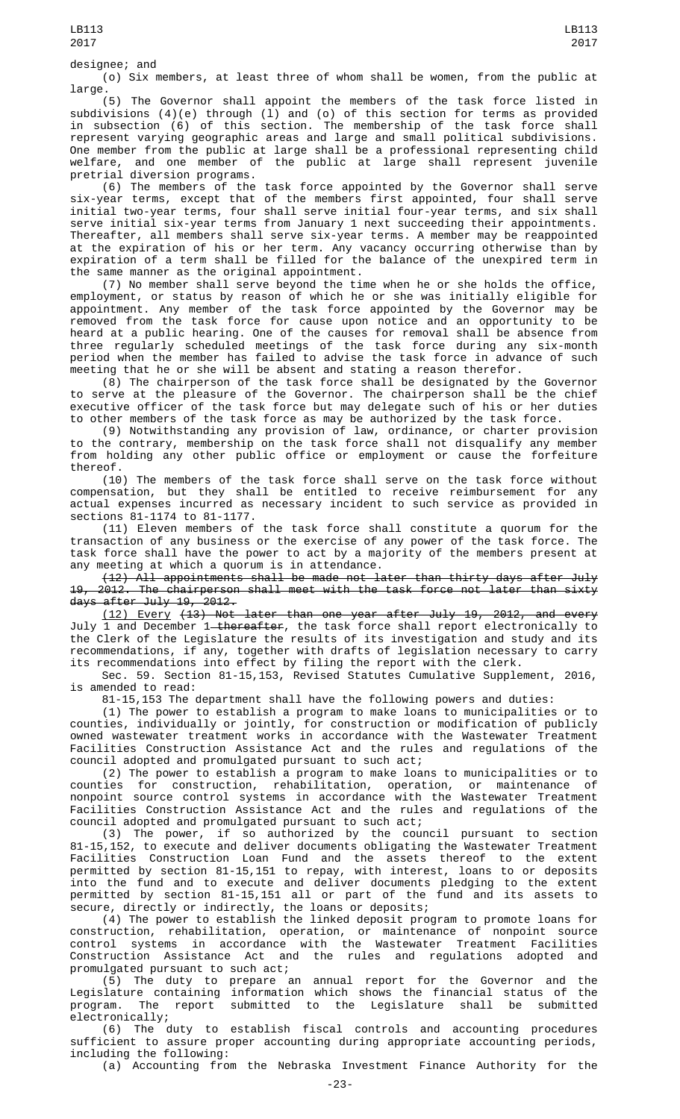## designee; and

(o) Six members, at least three of whom shall be women, from the public at large.

(5) The Governor shall appoint the members of the task force listed in subdivisions (4)(e) through (l) and (o) of this section for terms as provided in subsection (6) of this section. The membership of the task force shall represent varying geographic areas and large and small political subdivisions. One member from the public at large shall be a professional representing child welfare, and one member of the public at large shall represent juvenile pretrial diversion programs.

(6) The members of the task force appointed by the Governor shall serve six-year terms, except that of the members first appointed, four shall serve initial two-year terms, four shall serve initial four-year terms, and six shall serve initial six-year terms from January 1 next succeeding their appointments. Thereafter, all members shall serve six-year terms. A member may be reappointed at the expiration of his or her term. Any vacancy occurring otherwise than by expiration of a term shall be filled for the balance of the unexpired term in the same manner as the original appointment.

(7) No member shall serve beyond the time when he or she holds the office, employment, or status by reason of which he or she was initially eligible for appointment. Any member of the task force appointed by the Governor may be removed from the task force for cause upon notice and an opportunity to be heard at a public hearing. One of the causes for removal shall be absence from three regularly scheduled meetings of the task force during any six-month period when the member has failed to advise the task force in advance of such meeting that he or she will be absent and stating a reason therefor.

(8) The chairperson of the task force shall be designated by the Governor to serve at the pleasure of the Governor. The chairperson shall be the chief executive officer of the task force but may delegate such of his or her duties to other members of the task force as may be authorized by the task force.

(9) Notwithstanding any provision of law, ordinance, or charter provision to the contrary, membership on the task force shall not disqualify any member from holding any other public office or employment or cause the forfeiture thereof.

(10) The members of the task force shall serve on the task force without compensation, but they shall be entitled to receive reimbursement for any actual expenses incurred as necessary incident to such service as provided in sections 81-1174 to 81-1177.

(11) Eleven members of the task force shall constitute a quorum for the transaction of any business or the exercise of any power of the task force. The task force shall have the power to act by a majority of the members present at any meeting at which a quorum is in attendance.

(12) All appointments shall be made not later than thirty days after July 19, 2012. The chairperson shall meet with the task force not later than sixty days after July 19, 2012.

(12) Every (13) Not later than one year after July 19, 2012, and every July 1 and December 1<del> thereafter</del>, the task force shall report electronically to the Clerk of the Legislature the results of its investigation and study and its recommendations, if any, together with drafts of legislation necessary to carry its recommendations into effect by filing the report with the clerk.

Sec. 59. Section 81-15,153, Revised Statutes Cumulative Supplement, 2016, is amended to read:

81-15,153 The department shall have the following powers and duties:

(1) The power to establish a program to make loans to municipalities or to counties, individually or jointly, for construction or modification of publicly owned wastewater treatment works in accordance with the Wastewater Treatment Facilities Construction Assistance Act and the rules and regulations of the council adopted and promulgated pursuant to such act;

(2) The power to establish a program to make loans to municipalities or to counties for construction, rehabilitation, operation, or maintenance of nonpoint source control systems in accordance with the Wastewater Treatment Facilities Construction Assistance Act and the rules and regulations of the council adopted and promulgated pursuant to such act;

(3) The power, if so authorized by the council pursuant to section 81-15,152, to execute and deliver documents obligating the Wastewater Treatment Facilities Construction Loan Fund and the assets thereof to the extent permitted by section 81-15,151 to repay, with interest, loans to or deposits into the fund and to execute and deliver documents pledging to the extent permitted by section 81-15,151 all or part of the fund and its assets to secure, directly or indirectly, the loans or deposits;

(4) The power to establish the linked deposit program to promote loans for construction, rehabilitation, operation, or maintenance of nonpoint source control systems in accordance with the Wastewater Treatment Facilities Construction Assistance Act and the rules and regulations adopted and promulgated pursuant to such act;

(5) The duty to prepare an annual report for the Governor and the Legislature containing information which shows the financial status of the program. The report submitted to the Legislature shall be submitted electronically;

(6) The duty to establish fiscal controls and accounting procedures sufficient to assure proper accounting during appropriate accounting periods, including the following:

(a) Accounting from the Nebraska Investment Finance Authority for the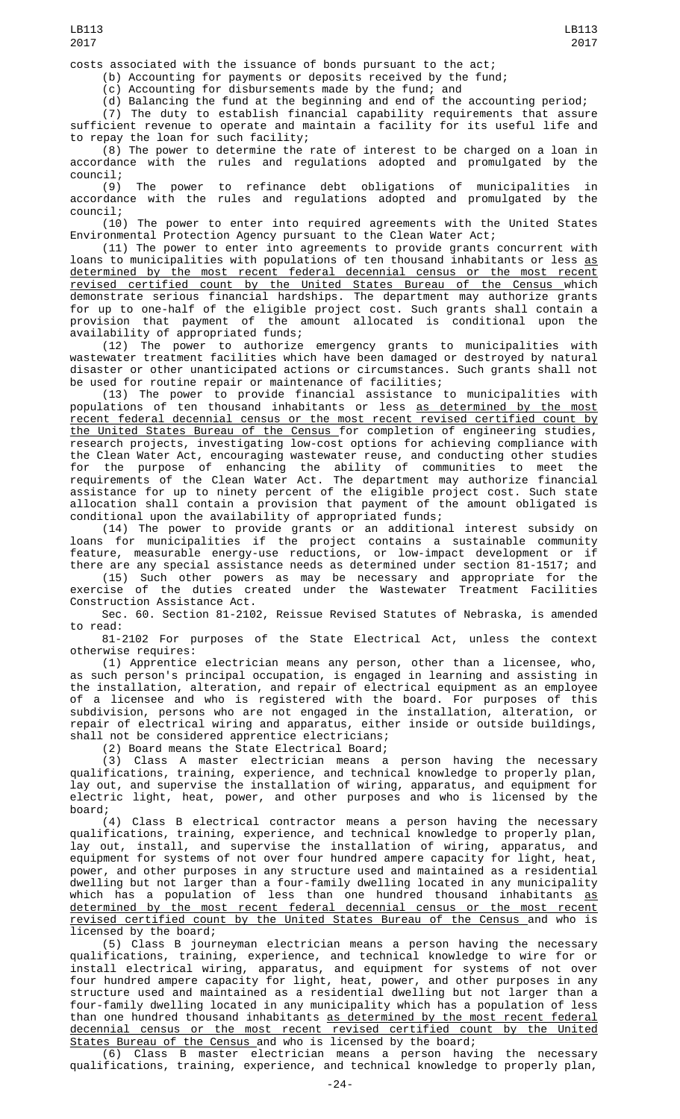costs associated with the issuance of bonds pursuant to the act;

(b) Accounting for payments or deposits received by the fund;

(c) Accounting for disbursements made by the fund; and

(d) Balancing the fund at the beginning and end of the accounting period;

(7) The duty to establish financial capability requirements that assure sufficient revenue to operate and maintain a facility for its useful life and to repay the loan for such facility;

(8) The power to determine the rate of interest to be charged on a loan in accordance with the rules and regulations adopted and promulgated by the council;

(9) The power to refinance debt obligations of municipalities in accordance with the rules and regulations adopted and promulgated by the council;

(10) The power to enter into required agreements with the United States Environmental Protection Agency pursuant to the Clean Water Act;

(11) The power to enter into agreements to provide grants concurrent with loans to municipalities with populations of ten thousand inhabitants or less <u>as</u> determined by the most recent federal decennial census or the most recent revised certified count by the United States Bureau of the Census which demonstrate serious financial hardships. The department may authorize grants for up to one-half of the eligible project cost. Such grants shall contain a provision that payment of the amount allocated is conditional upon the availability of appropriated funds;

(12) The power to authorize emergency grants to municipalities with wastewater treatment facilities which have been damaged or destroyed by natural disaster or other unanticipated actions or circumstances. Such grants shall not be used for routine repair or maintenance of facilities;

(13) The power to provide financial assistance to municipalities with populations of ten thousand inhabitants or less <u>as determined by the most</u> recent federal decennial census or the most recent revised certified count by the United States Bureau of the Census for completion of engineering studies, research projects, investigating low-cost options for achieving compliance with the Clean Water Act, encouraging wastewater reuse, and conducting other studies for the purpose of enhancing the ability of communities to meet the requirements of the Clean Water Act. The department may authorize financial assistance for up to ninety percent of the eligible project cost. Such state allocation shall contain a provision that payment of the amount obligated is conditional upon the availability of appropriated funds;

(14) The power to provide grants or an additional interest subsidy on loans for municipalities if the project contains a sustainable community feature, measurable energy-use reductions, or low-impact development or if there are any special assistance needs as determined under section 81-1517; and

(15) Such other powers as may be necessary and appropriate for the exercise of the duties created under the Wastewater Treatment Facilities Construction Assistance Act.

Sec. 60. Section 81-2102, Reissue Revised Statutes of Nebraska, is amended to read:

81-2102 For purposes of the State Electrical Act, unless the context otherwise requires:

(1) Apprentice electrician means any person, other than a licensee, who, as such person's principal occupation, is engaged in learning and assisting in the installation, alteration, and repair of electrical equipment as an employee of a licensee and who is registered with the board. For purposes of this subdivision, persons who are not engaged in the installation, alteration, or repair of electrical wiring and apparatus, either inside or outside buildings, shall not be considered apprentice electricians;

(2) Board means the State Electrical Board;

(3) Class A master electrician means a person having the necessary qualifications, training, experience, and technical knowledge to properly plan, lay out, and supervise the installation of wiring, apparatus, and equipment for electric light, heat, power, and other purposes and who is licensed by the board;

(4) Class B electrical contractor means a person having the necessary qualifications, training, experience, and technical knowledge to properly plan, lay out, install, and supervise the installation of wiring, apparatus, and equipment for systems of not over four hundred ampere capacity for light, heat, power, and other purposes in any structure used and maintained as a residential dwelling but not larger than a four-family dwelling located in any municipality which has a population of less than one hundred thousand inhabitants <u>as</u> determined by the most recent federal decennial census or the most recent revised certified count by the United States Bureau of the Census and who is licensed by the board;

(5) Class B journeyman electrician means a person having the necessary qualifications, training, experience, and technical knowledge to wire for or install electrical wiring, apparatus, and equipment for systems of not over four hundred ampere capacity for light, heat, power, and other purposes in any structure used and maintained as a residential dwelling but not larger than a four-family dwelling located in any municipality which has a population of less than one hundred thousand inhabitants as determined by the most recent federal decennial census or the most recent revised certified count by the United States Bureau of the Census and who is licensed by the board;

(6) Class B master electrician means a person having the necessary qualifications, training, experience, and technical knowledge to properly plan,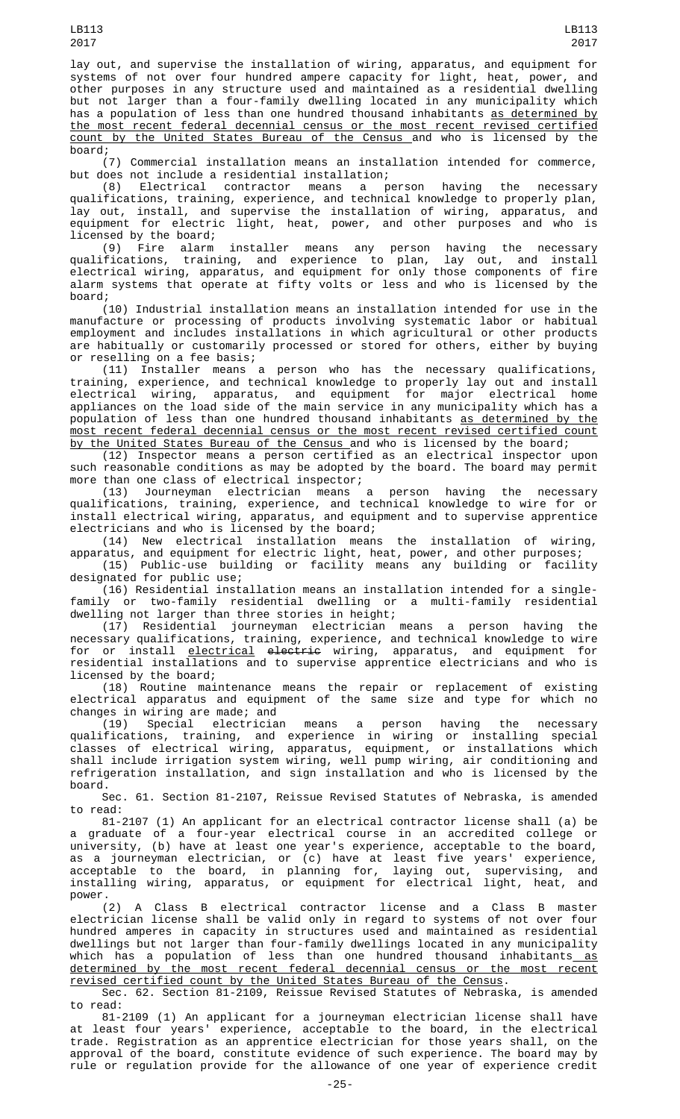lay out, and supervise the installation of wiring, apparatus, and equipment for systems of not over four hundred ampere capacity for light, heat, power, and other purposes in any structure used and maintained as a residential dwelling but not larger than a four-family dwelling located in any municipality which has a population of less than one hundred thousand inhabitants as determined by the most recent federal decennial census or the most recent revised certified count by the United States Bureau of the Census and who is licensed by the board;

(7) Commercial installation means an installation intended for commerce, but does not include a residential installation;

(8) Electrical contractor means a person having the necessary qualifications, training, experience, and technical knowledge to properly plan, lay out, install, and supervise the installation of wiring, apparatus, and equipment for electric light, heat, power, and other purposes and who is licensed by the board;

(9) Fire alarm installer means any person having the necessary qualifications, training, and experience to plan, lay out, and install electrical wiring, apparatus, and equipment for only those components of fire alarm systems that operate at fifty volts or less and who is licensed by the board;

(10) Industrial installation means an installation intended for use in the manufacture or processing of products involving systematic labor or habitual employment and includes installations in which agricultural or other products are habitually or customarily processed or stored for others, either by buying or reselling on a fee basis;

(11) Installer means a person who has the necessary qualifications, training, experience, and technical knowledge to properly lay out and install electrical wiring, apparatus, and equipment for major electrical home appliances on the load side of the main service in any municipality which has a population of less than one hundred thousand inhabitants as determined by the most recent federal decennial census or the most recent revised certified count <u>by the United States Bureau of the Census a</u>nd who is licensed by the board;

(12) Inspector means a person certified as an electrical inspector upon such reasonable conditions as may be adopted by the board. The board may permit

more than one class of electrical inspector;<br>(13) Journeyman electrician means a (13) Journeyman electrician means a person having the necessary qualifications, training, experience, and technical knowledge to wire for or install electrical wiring, apparatus, and equipment and to supervise apprentice electricians and who is licensed by the board;

(14) New electrical installation means the installation of wiring, apparatus, and equipment for electric light, heat, power, and other purposes;

(15) Public-use building or facility means any building or facility designated for public use;

(16) Residential installation means an installation intended for a singlefamily or two-family residential dwelling or a multi-family residential dwelling not larger than three stories in height;

(17) Residential journeyman electrician means a person having the necessary qualifications, training, experience, and technical knowledge to wire for or install electrical electric wiring, apparatus, and equipment for residential installations and to supervise apprentice electricians and who is licensed by the board;

(18) Routine maintenance means the repair or replacement of existing electrical apparatus and equipment of the same size and type for which no changes in wiring are made; and<br>(19) Special electrician

(19) Special electrician means a person having the necessary qualifications, training, and experience in wiring or installing special classes of electrical wiring, apparatus, equipment, or installations which shall include irrigation system wiring, well pump wiring, air conditioning and refrigeration installation, and sign installation and who is licensed by the board.

Sec. 61. Section 81-2107, Reissue Revised Statutes of Nebraska, is amended to read:

81-2107 (1) An applicant for an electrical contractor license shall (a) be a graduate of a four-year electrical course in an accredited college or university, (b) have at least one year's experience, acceptable to the board, as a journeyman electrician, or (c) have at least five years' experience, acceptable to the board, in planning for, laying out, supervising, and installing wiring, apparatus, or equipment for electrical light, heat, and power.<br>(2)

A Class B electrical contractor license and a Class B master electrician license shall be valid only in regard to systems of not over four hundred amperes in capacity in structures used and maintained as residential dwellings but not larger than four-family dwellings located in any municipality which has a population of less than one hundred thousand inhabitants<u> as</u> determined by the most recent federal decennial census or the most recent revised certified count by the United States Bureau of the Census.

Sec. 62. Section 81-2109, Reissue Revised Statutes of Nebraska, is amended to read:

81-2109 (1) An applicant for a journeyman electrician license shall have at least four years' experience, acceptable to the board, in the electrical trade. Registration as an apprentice electrician for those years shall, on the approval of the board, constitute evidence of such experience. The board may by rule or regulation provide for the allowance of one year of experience credit